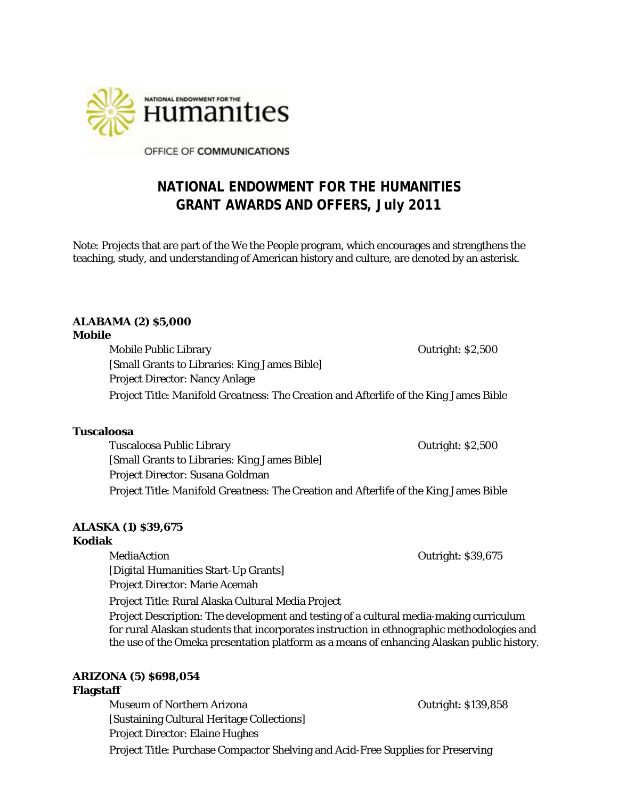

OFFICE OF COMMUNICATIONS

# **NATIONAL ENDOWMENT FOR THE HUMANITIES GRANT AWARDS AND OFFERS, July 2011**

Note: Projects that are part of the *We the People* program, which encourages and strengthens the teaching, study, and understanding of American history and culture, are denoted by an asterisk.

# **ALABAMA (2) \$5,000**

#### **Mobile**

Mobile Public Library **Contract Contract Contract Contract Contract Contract Contract Contract Contract Contract Contract Contract Contract Contract Contract Contract Contract Contract Contract Contract Contract Contract C** [Small Grants to Libraries: King James Bible] Project Director: Nancy Anlage Project Title: *Manifold Greatness*: The Creation and Afterlife of the King James Bible

#### **Tuscaloosa**

Tuscaloosa Public Library **Tuscaloosa Public Library Contract Activity** Cutright: \$2,500 [Small Grants to Libraries: King James Bible] Project Director: Susana Goldman Project Title: *Manifold Greatness*: The Creation and Afterlife of the King James Bible

# **ALASKA (1) \$39,675**

#### **Kodiak**

MediaAction Outright: \$39,675 [Digital Humanities Start-Up Grants] Project Director: Marie Acemah Project Title: Rural Alaska Cultural Media Project Project Description: The development and testing of a cultural media-making curriculum for rural Alaskan students that incorporates instruction in ethnographic methodologies and the use of the Omeka presentation platform as a means of enhancing Alaskan public history.

# **ARIZONA (5) \$698,054**

#### **Flagstaff**

Museum of Northern Arizona **Community 1986** Outright: \$139,858 [Sustaining Cultural Heritage Collections] Project Director: Elaine Hughes Project Title: Purchase Compactor Shelving and Acid-Free Supplies for Preserving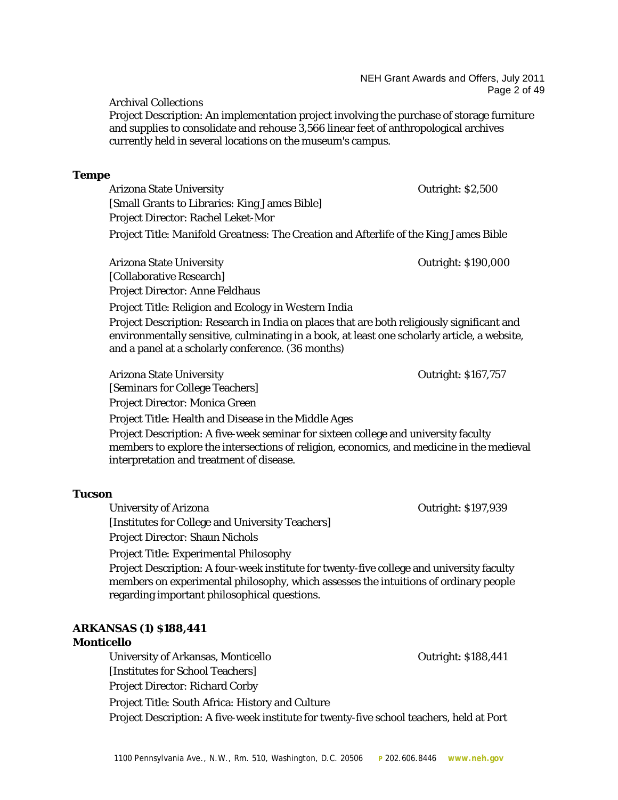Archival Collections

Project Description: An implementation project involving the purchase of storage furniture and supplies to consolidate and rehouse 3,566 linear feet of anthropological archives currently held in several locations on the museum's campus.

#### **Tempe**

Arizona State University Outright: \$2,500 [Small Grants to Libraries: King James Bible] Project Director: Rachel Leket-Mor Project Title: *Manifold Greatness*: The Creation and Afterlife of the King James Bible

Arizona State University **Arizona State University COULLET COULLET COULLET COULLET COULLET COULLET COULLET** [Collaborative Research] Project Director: Anne Feldhaus

Project Title: Religion and Ecology in Western India Project Description: Research in India on places that are both religiously significant and environmentally sensitive, culminating in a book, at least one scholarly article, a website, and a panel at a scholarly conference. (36 months)

Arizona State University **Outright: \$167,757** [Seminars for College Teachers] Project Director: Monica Green

Project Title: Health and Disease in the Middle Ages

Project Description: A five-week seminar for sixteen college and university faculty members to explore the intersections of religion, economics, and medicine in the medieval interpretation and treatment of disease.

# **Tucson**

University of Arizona Outright: \$197,939 [Institutes for College and University Teachers] Project Director: Shaun Nichols

Project Title: Experimental Philosophy

Project Description: A four-week institute for twenty-five college and university faculty members on experimental philosophy, which assesses the intuitions of ordinary people regarding important philosophical questions.

# **ARKANSAS (1) \$188,441**

# **Monticello**

University of Arkansas, Monticello **Carlo 2018** Outright: \$188,441 [Institutes for School Teachers] Project Director: Richard Corby Project Title: South Africa: History and Culture Project Description: A five-week institute for twenty-five school teachers, held at Port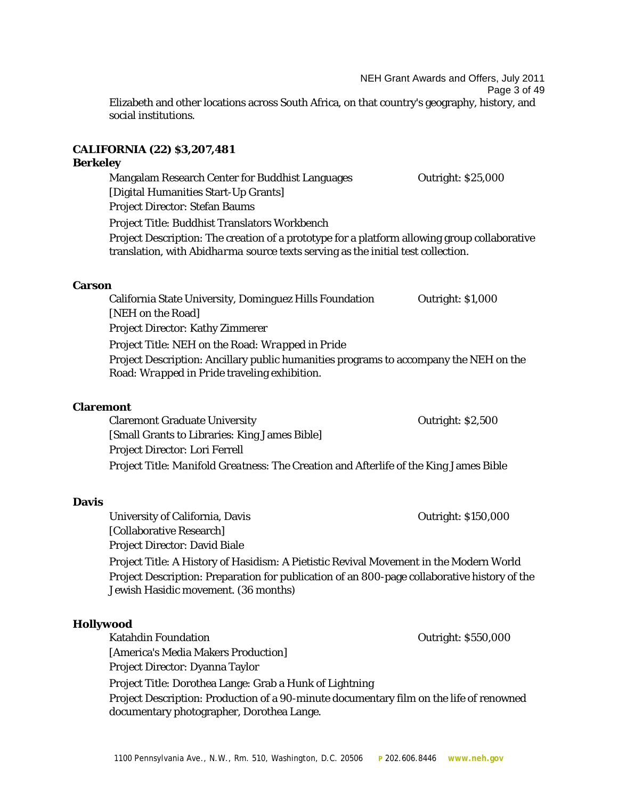NEH Grant Awards and Offers, July 2011

Page 3 of 49

Elizabeth and other locations across South Africa, on that country's geography, history, and social institutions.

# **CALIFORNIA (22) \$3,207,481**

# **Berkeley**

Mangalam Research Center for Buddhist Languages **Canadian Contract Contract Contract** Contract Contract Contract Contract Contract Contract Contract Contract Contract Contract Contract Contract Contract Contract Contract C [Digital Humanities Start-Up Grants] Project Director: Stefan Baums Project Title: Buddhist Translators Workbench Project Description: The creation of a prototype for a platform allowing group collaborative translation, with *Abidharma* source texts serving as the initial test collection.

#### **Carson**

California State University, Dominguez Hills Foundation **Outright: \$1,000** [NEH on the Road] Project Director: Kathy Zimmerer Project Title: NEH on the Road: *Wrapped in Pride* Project Description: Ancillary public humanities programs to accompany the NEH on the Road: *Wrapped in Pride* traveling exhibition.

# **Claremont**

Claremont Graduate University **Contract Contract Contract Contract Contract Contract Contract Contract Contract** [Small Grants to Libraries: King James Bible] Project Director: Lori Ferrell Project Title: *Manifold Greatness*: The Creation and Afterlife of the King James Bible

#### **Davis**

University of California, Davis **Disk and America** Curright: \$150,000 [Collaborative Research] Project Director: David Biale Project Title: A History of Hasidism: A Pietistic Revival Movement in the Modern World Project Description: Preparation for publication of an 800-page collaborative history of the

Jewish Hasidic movement. (36 months)

# **Hollywood**

Katahdin Foundation **Nation** Controllering Controllering Controllering Controllering Controllering Controllering Controllering Controllering Controllering Controllering Controllering Controllering Controllering Controlleri [America's Media Makers Production] Project Director: Dyanna Taylor Project Title: Dorothea Lange: Grab a Hunk of Lightning Project Description: Production of a 90-minute documentary film on the life of renowned documentary photographer, Dorothea Lange.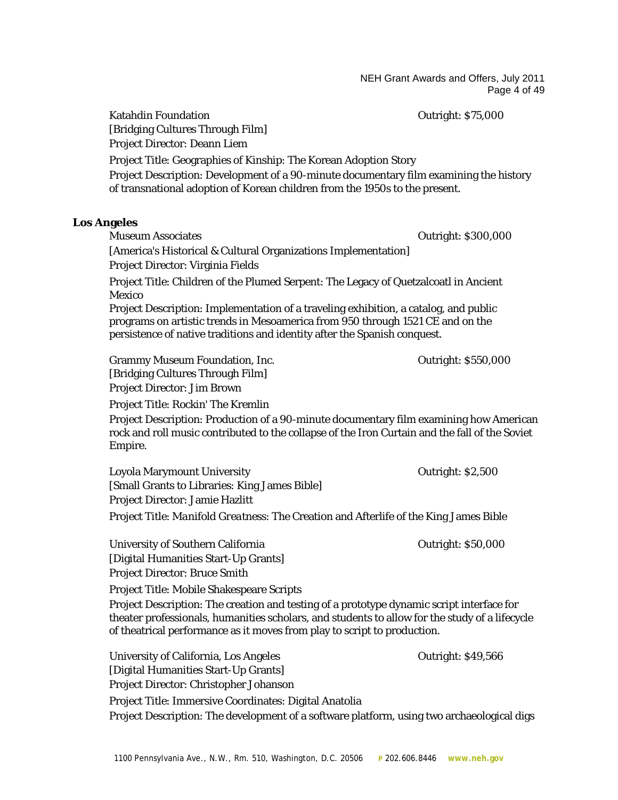NEH Grant Awards and Offers, July 2011 Page 4 of 49

Katahdin Foundation **Communist Except Contract Contract Contract Contract Contract Contract Contract Contract Contract Contract Contract Contract Contract Contract Contract Contract Contract Contract Contract Contract Cont** [Bridging Cultures Through Film] Project Director: Deann Liem Project Title: Geographies of Kinship: The Korean Adoption Story Project Description: Development of a 90-minute documentary film examining the history of transnational adoption of Korean children from the 1950s to the present.

#### **Los Angeles**

Museum Associates **Outright: \$300,000** [America's Historical & Cultural Organizations Implementation] Project Director: Virginia Fields Project Title: Children of the Plumed Serpent: The Legacy of Quetzalcoatl in Ancient Mexico Project Description: Implementation of a traveling exhibition, a catalog, and public programs on artistic trends in Mesoamerica from 950 through 1521 CE and on the persistence of native traditions and identity after the Spanish conquest. Grammy Museum Foundation, Inc. The Contract of Contract Contract Contract Contract Outright: \$550,000 [Bridging Cultures Through Film] Project Director: Jim Brown Project Title: Rockin' The Kremlin Project Description: Production of a 90-minute documentary film examining how American rock and roll music contributed to the collapse of the Iron Curtain and the fall of the Soviet Empire. Loyola Marymount University Outright: \$2,500 [Small Grants to Libraries: King James Bible] Project Director: Jamie Hazlitt Project Title: *Manifold Greatness*: The Creation and Afterlife of the King James Bible University of Southern California Contraction Contraction Contraction Contraction Contraction Contraction Contraction Contraction Contraction Contraction Contraction Contraction Contraction Contraction Contraction Contract [Digital Humanities Start-Up Grants] Project Director: Bruce Smith Project Title: Mobile Shakespeare Scripts Project Description: The creation and testing of a prototype dynamic script interface for theater professionals, humanities scholars, and students to allow for the study of a lifecycle of theatrical performance as it moves from play to script to production. University of California, Los Angeles **California**, Costangles **California**, Costangles **California**, Costangles **California**, Costangles **California**, Costangles **California**, Costangles **California**, Costangles **Californ** [Digital Humanities Start-Up Grants] Project Director: Christopher Johanson Project Title: Immersive Coordinates: Digital Anatolia Project Description: The development of a software platform, using two archaeological digs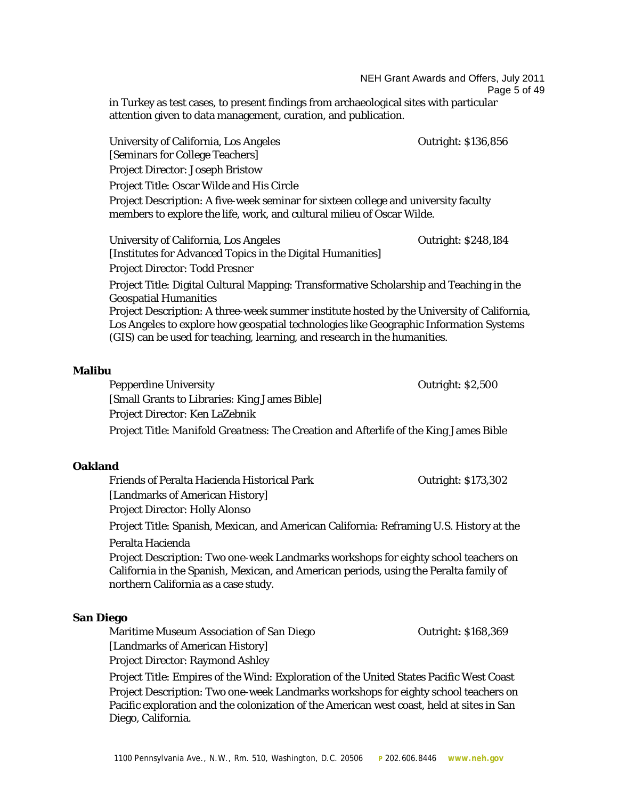NEH Grant Awards and Offers, July 2011 Page 5 of 49 in Turkey as test cases, to present findings from archaeological sites with particular attention given to data management, curation, and publication.

University of California, Los Angeles **Outright: \$136,856** [Seminars for College Teachers] Project Director: Joseph Bristow Project Title: Oscar Wilde and His Circle Project Description: A five-week seminar for sixteen college and university faculty members to explore the life, work, and cultural milieu of Oscar Wilde. University of California, Los Angeles **Outright:**  $\frac{1}{248,184}$ [Institutes for Advanced Topics in the Digital Humanities] Project Director: Todd Presner Project Title: Digital Cultural Mapping: Transformative Scholarship and Teaching in the Geospatial Humanities Project Description: A three-week summer institute hosted by the University of California, Los Angeles to explore how geospatial technologies like Geographic Information Systems (GIS) can be used for teaching, learning, and research in the humanities.

#### **Malibu**

Pepperdine University **Department Control** Pepperdine University **Outright:** \$2,500 [Small Grants to Libraries: King James Bible] Project Director: Ken LaZebnik Project Title: *Manifold Greatness*: The Creation and Afterlife of the King James Bible

#### **Oakland**

Friends of Peralta Hacienda Historical Park **Contract Contract Contract Park** Outright: \$173,302

[Landmarks of American History]

Project Director: Holly Alonso

Project Title: Spanish, Mexican, and American California: Reframing U.S. History at the

Peralta Hacienda

Project Description: Two one-week Landmarks workshops for eighty school teachers on California in the Spanish, Mexican, and American periods, using the Peralta family of northern California as a case study.

#### **San Diego**

Maritime Museum Association of San Diego **Cannon Contract Contract Contract** Outright: \$168,369 [Landmarks of American History]

Project Director: Raymond Ashley

Project Title: Empires of the Wind: Exploration of the United States Pacific West Coast Project Description: Two one-week Landmarks workshops for eighty school teachers on Pacific exploration and the colonization of the American west coast, held at sites in San Diego, California.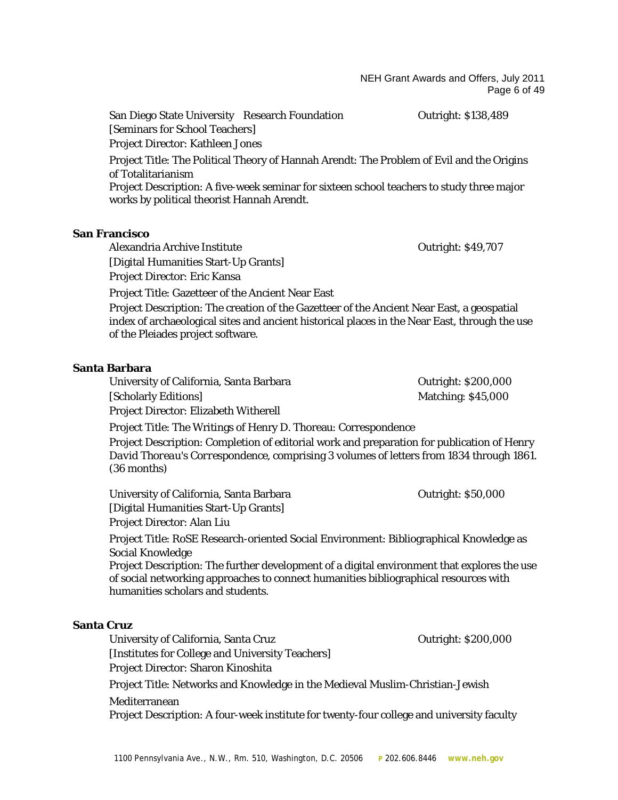#### NEH Grant Awards and Offers, July 2011 Page 6 of 49

San Diego State University Research Foundation **Cullets** Outright: \$138,489 [Seminars for School Teachers] Project Director: Kathleen Jones Project Title: The Political Theory of Hannah Arendt: The Problem of Evil and the Origins of Totalitarianism Project Description: A five-week seminar for sixteen school teachers to study three major works by political theorist Hannah Arendt.

#### **San Francisco**

Alexandria Archive Institute **Outright: \$49,707** [Digital Humanities Start-Up Grants] Project Director: Eric Kansa

Project Title: Gazetteer of the Ancient Near East

Project Description: The creation of the Gazetteer of the Ancient Near East, a geospatial index of archaeological sites and ancient historical places in the Near East, through the use of the Pleiades project software.

#### **Santa Barbara**

| University of California, Santa Barbara      | Out |
|----------------------------------------------|-----|
| [Scholarly Editions]                         | Ma  |
| <b>Project Director: Elizabeth Witherell</b> |     |

 $tright:$  \$200,000 tching: \$45,000

Project Title: The Writings of Henry D. Thoreau: Correspondence

Project Description: Completion of editorial work and preparation for publication of *Henry David Thoreau's Correspondence*, comprising 3 volumes of letters from 1834 through 1861. (36 months)

University of California, Santa Barbara **Outright: \$50,000** [Digital Humanities Start-Up Grants] Project Director: Alan Liu

Project Title: RoSE Research-oriented Social Environment: Bibliographical Knowledge as Social Knowledge

Project Description: The further development of a digital environment that explores the use of social networking approaches to connect humanities bibliographical resources with humanities scholars and students.

#### **Santa Cruz**

University of California, Santa Cruz **Cruz Cruz Cruz Cruz Cruz Cruz Cruz Cruz Cruz Cruz Cruz C** [Institutes for College and University Teachers] Project Director: Sharon Kinoshita Project Title: Networks and Knowledge in the Medieval Muslim-Christian-Jewish Mediterranean Project Description: A four-week institute for twenty-four college and university faculty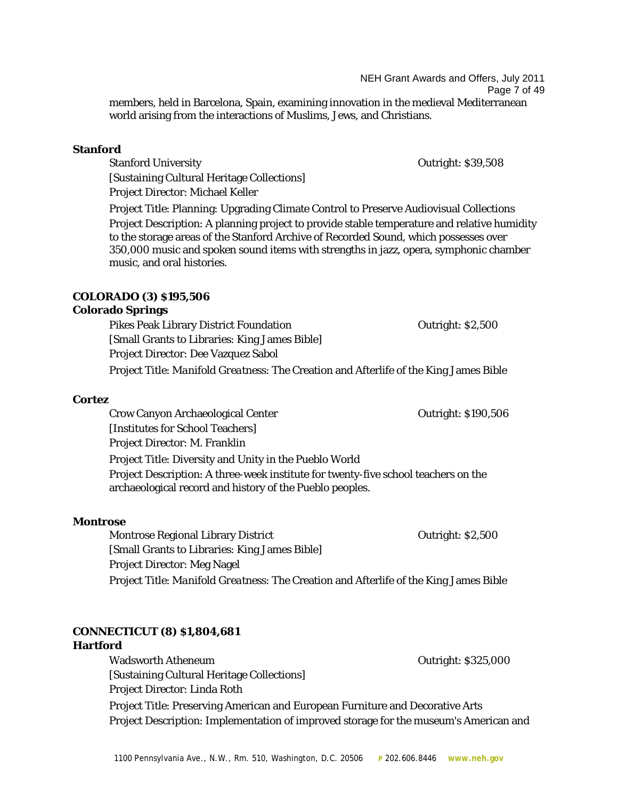NEH Grant Awards and Offers, July 2011 Page 7 of 49 members, held in Barcelona, Spain, examining innovation in the medieval Mediterranean world arising from the interactions of Muslims, Jews, and Christians.

#### **Stanford**

Stanford University Outright: \$39,508 [Sustaining Cultural Heritage Collections] Project Director: Michael Keller

Project Title: Planning: Upgrading Climate Control to Preserve Audiovisual Collections Project Description: A planning project to provide stable temperature and relative humidity to the storage areas of the Stanford Archive of Recorded Sound, which possesses over 350,000 music and spoken sound items with strengths in jazz, opera, symphonic chamber music, and oral histories.

#### **COLORADO (3) \$195,506**

# **Colorado Springs**

Pikes Peak Library District Foundation **Concrete Contract Concrete Concrete Concrete Concrete Concrete Concrete** [Small Grants to Libraries: King James Bible] Project Director: Dee Vazquez Sabol Project Title: *Manifold Greatness*: The Creation and Afterlife of the King James Bible

#### **Cortez**

Crow Canyon Archaeological Center **Canyon Archaeological Center Canyon Archaeological Center Outright: \$190,506** [Institutes for School Teachers] Project Director: M. Franklin Project Title: Diversity and Unity in the Pueblo World Project Description: A three-week institute for twenty-five school teachers on the archaeological record and history of the Pueblo peoples.

#### **Montrose**

Montrose Regional Library District New York Contright: \$2,500 [Small Grants to Libraries: King James Bible] Project Director: Meg Nagel Project Title: *Manifold Greatness*: The Creation and Afterlife of the King James Bible

#### **CONNECTICUT (8) \$1,804,681 Hartford**

Wadsworth Atheneum and the controller of the controller of the Countries of Countries of the Outright: \$325,000 [Sustaining Cultural Heritage Collections] Project Director: Linda Roth

Project Title: Preserving American and European Furniture and Decorative Arts Project Description: Implementation of improved storage for the museum's American and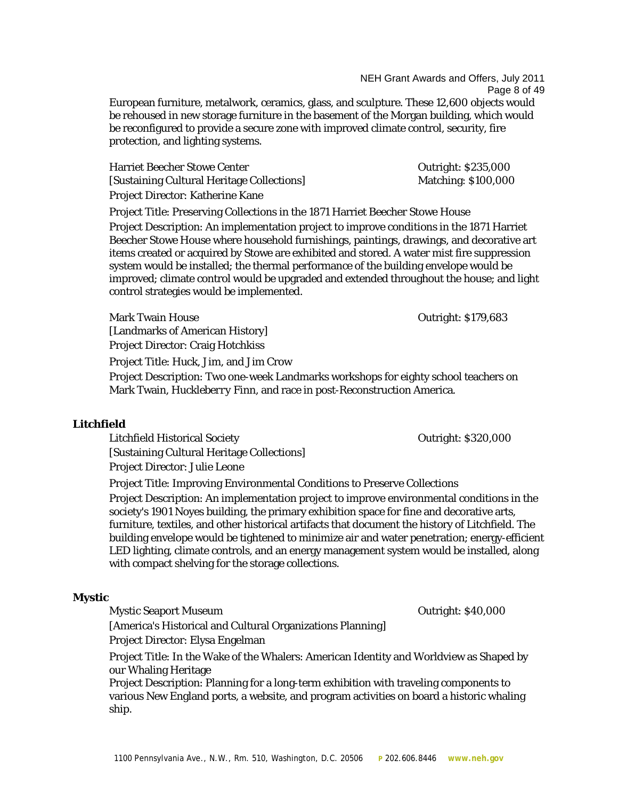NEH Grant Awards and Offers, July 2011 Page 8 of 49 European furniture, metalwork, ceramics, glass, and sculpture. These 12,600 objects would

be rehoused in new storage furniture in the basement of the Morgan building, which would be reconfigured to provide a secure zone with improved climate control, security, fire protection, and lighting systems.

Harriet Beecher Stowe Center **CENTER 1988** Outright: \$235,000 [Sustaining Cultural Heritage Collections] Matching: \$100,000 Project Director: Katherine Kane

Project Title: Preserving Collections in the 1871 Harriet Beecher Stowe House Project Description: An implementation project to improve conditions in the 1871 Harriet Beecher Stowe House where household furnishings, paintings, drawings, and decorative art items created or acquired by Stowe are exhibited and stored. A water mist fire suppression system would be installed; the thermal performance of the building envelope would be improved; climate control would be upgraded and extended throughout the house; and light control strategies would be implemented.

Mark Twain House Outright: \$179,683

[Landmarks of American History] Project Director: Craig Hotchkiss

Project Title: Huck, Jim, and Jim Crow

Project Description: Two one-week Landmarks workshops for eighty school teachers on Mark Twain, *Huckleberry Finn*, and race in post-Reconstruction America.

#### **Litchfield**

Litchfield Historical Society **Outright: \$320,000** [Sustaining Cultural Heritage Collections]

Project Director: Julie Leone

Project Title: Improving Environmental Conditions to Preserve Collections

Project Description: An implementation project to improve environmental conditions in the society's 1901 Noyes building, the primary exhibition space for fine and decorative arts, furniture, textiles, and other historical artifacts that document the history of Litchfield. The building envelope would be tightened to minimize air and water penetration; energy-efficient LED lighting, climate controls, and an energy management system would be installed, along with compact shelving for the storage collections.

#### **Mystic**

Mystic Seaport Museum Outright: \$40,000

[America's Historical and Cultural Organizations Planning] Project Director: Elysa Engelman

Project Title: In the Wake of the Whalers: American Identity and Worldview as Shaped by our Whaling Heritage

Project Description: Planning for a long-term exhibition with traveling components to various New England ports, a website, and program activities on board a historic whaling ship.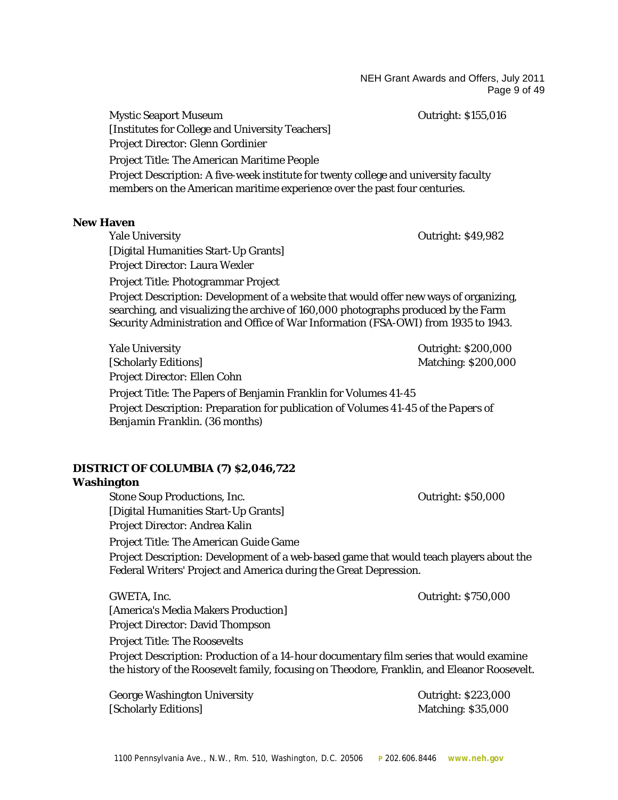NEH Grant Awards and Offers, July 2011 Page 9 of 49

Mystic Seaport Museum Outright: \$155,016 [Institutes for College and University Teachers] Project Director: Glenn Gordinier Project Title: The American Maritime People Project Description: A five-week institute for twenty college and university faculty members on the American maritime experience over the past four centuries.

#### **New Haven**

Yale University Outright: \$49,982 [Digital Humanities Start-Up Grants] Project Director: Laura Wexler Project Title: Photogrammar Project Project Description: Development of a website that would offer new ways of organizing, searching, and visualizing the archive of 160,000 photographs produced by the Farm

Security Administration and Office of War Information (FSA-OWI) from 1935 to 1943.

Yale University Outright: \$200,000 [Scholarly Editions] Matching: \$200,000 Project Director: Ellen Cohn Project Title: The Papers of Benjamin Franklin for Volumes 41-45 Project Description: Preparation for publication of Volumes 41-45 of the *Papers of Benjamin Franklin*. (36 months)

#### **DISTRICT OF COLUMBIA (7) \$2,046,722 Washington**

Stone Soup Productions, Inc. The Soup Productions, Inc. The Soup Productions of the Soup Productions, Inc. The Soup Productions of the Soup Productions of the Soup Productions of the Soup Productions of the Soup Production [Digital Humanities Start-Up Grants] Project Director: Andrea Kalin Project Title: The American Guide Game Project Description: Development of a web-based game that would teach players about the Federal Writers' Project and America during the Great Depression.

GWETA, Inc. **GWETA, Inc. CONSERVING A** [America's Media Makers Production] Project Director: David Thompson Project Title: The Roosevelts Project Description: Production of a 14-hour documentary film series that would examine the history of the Roosevelt family, focusing on Theodore, Franklin, and Eleanor Roosevelt.

George Washington University **Contract Contract Contract Contract Contract Contract Contract Contract Contract Contract Contract Contract Contract Contract Contract Contract Contract Contract Contract Contract Contract Con** [Scholarly Editions] Matching: \$35,000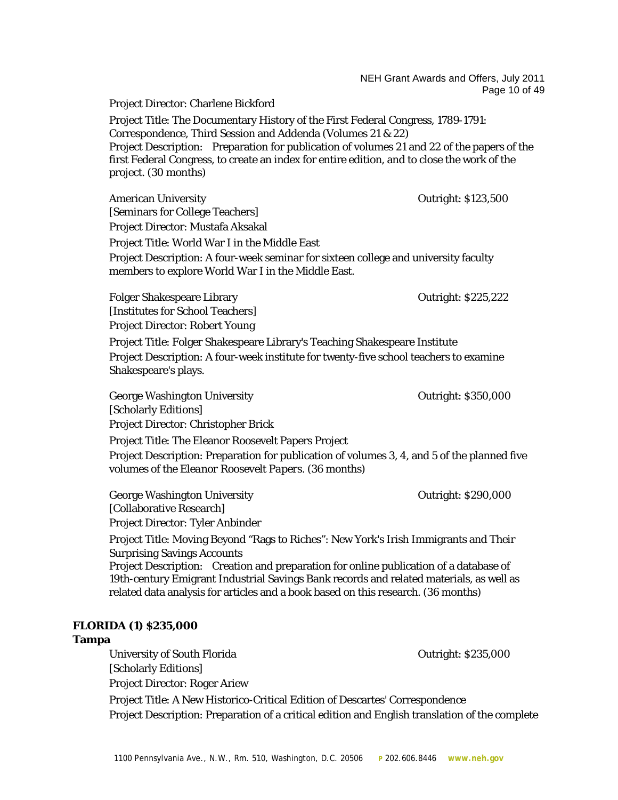NEH Grant Awards and Offers, July 2011 Page 10 of 49 Project Director: Charlene Bickford Project Title: The Documentary History of the First Federal Congress, 1789-1791: Correspondence, Third Session and Addenda (Volumes 21 & 22) Project Description: Preparation for publication of volumes 21 and 22 of the papers of the first Federal Congress, to create an index for entire edition, and to close the work of the project. (30 months) American University **Contract Contract Contract Contract Contract Contract Contract Contract Contract Contract Contract Contract Contract Contract Contract Contract Contract Contract Contract Contract Contract Contract Con** [Seminars for College Teachers] Project Director: Mustafa Aksakal Project Title: World War I in the Middle East Project Description: A four-week seminar for sixteen college and university faculty members to explore World War I in the Middle East. Folger Shakespeare Library **Contract Contract Contract Contract Contract Contract Contract Contract Contract Contract Contract Contract Contract Contract Contract Contract Contract Contract Contract Contract Contract Contr** [Institutes for School Teachers] Project Director: Robert Young Project Title: Folger Shakespeare Library's Teaching Shakespeare Institute Project Description: A four-week institute for twenty-five school teachers to examine Shakespeare's plays. George Washington University **Contract Contract Contract Contract Contract Contract Contract Contract Contract Contract Contract Contract Contract Contract Contract Contract Contract Contract Contract Contract Contract Con** [Scholarly Editions] Project Director: Christopher Brick Project Title: The Eleanor Roosevelt Papers Project Project Description: Preparation for publication of volumes 3, 4, and 5 of the planned five volumes of the *Eleanor Roosevelt Papers*. (36 months) George Washington University **Contract Contract Contract Contract Contract Contract Contract Contract Contract Contract Contract Contract Contract Contract Contract Contract Contract Contract Contract Contract Contract Con** [Collaborative Research] Project Director: Tyler Anbinder Project Title: Moving Beyond "Rags to Riches": New York's Irish Immigrants and Their Surprising Savings Accounts Project Description: Creation and preparation for online publication of a database of 19th-century Emigrant Industrial Savings Bank records and related materials, as well as related data analysis for articles and a book based on this research. (36 months) **FLORIDA (1) \$235,000 Tampa** University of South Florida Curis Countries of South Florida Curis Curis Curis Curis Curis Curis Curis Curis C [Scholarly Editions] Project Director: Roger Ariew

Project Title: A New Historico-Critical Edition of Descartes' Correspondence Project Description: Preparation of a critical edition and English translation of the complete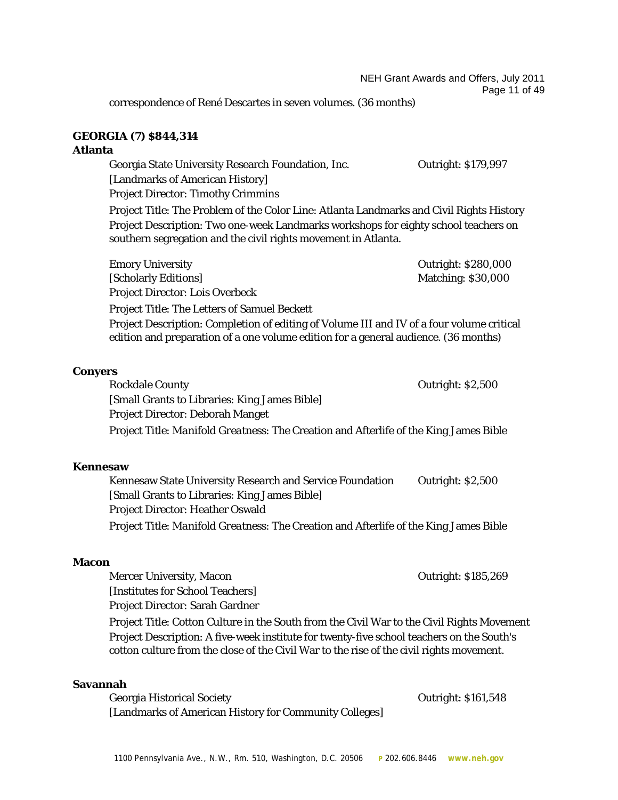correspondence of René Descartes in seven volumes. (36 months)

# **GEORGIA (7) \$844,314**

#### **Atlanta**

Georgia State University Research Foundation, Inc. Outright: \$179,997

[Landmarks of American History]

Project Director: Timothy Crimmins

Project Title: The Problem of the Color Line: Atlanta Landmarks and Civil Rights History Project Description: Two one-week Landmarks workshops for eighty school teachers on southern segregation and the civil rights movement in Atlanta.

Emory University **Emory University CONSERVING SECULAR CONSERVING SECULAR CONSERVING SECULAR CONSERVING SECULAR CONSERVING SECULAR CONSERVING SECULAR CONSERVING SECULAR CONSERVING SECULAR CONSERVING SECULAR CONSERVING SEC** 

[Scholarly Editions] Matching: \$30,000 Project Director: Lois Overbeck

Project Title: The Letters of Samuel Beckett

Project Description: Completion of editing of Volume III and IV of a four volume critical edition and preparation of a one volume edition for a general audience. (36 months)

#### **Conyers**

Rockdale County **County County County County County County County County County County County County County County County County County County County County County County County** [Small Grants to Libraries: King James Bible] Project Director: Deborah Manget Project Title: *Manifold Greatness*: The Creation and Afterlife of the King James Bible

# **Kennesaw**

Kennesaw State University Research and Service Foundation Outright: \$2,500 [Small Grants to Libraries: King James Bible] Project Director: Heather Oswald Project Title: *Manifold Greatness*: The Creation and Afterlife of the King James Bible

#### **Macon**

Mercer University, Macon Outright: \$185,269 [Institutes for School Teachers] Project Director: Sarah Gardner

Project Title: Cotton Culture in the South from the Civil War to the Civil Rights Movement Project Description: A five-week institute for twenty-five school teachers on the South's cotton culture from the close of the Civil War to the rise of the civil rights movement.

#### **Savannah**

| Georgia Historical Society                             | Outright: \$161,548 |
|--------------------------------------------------------|---------------------|
| [Landmarks of American History for Community Colleges] |                     |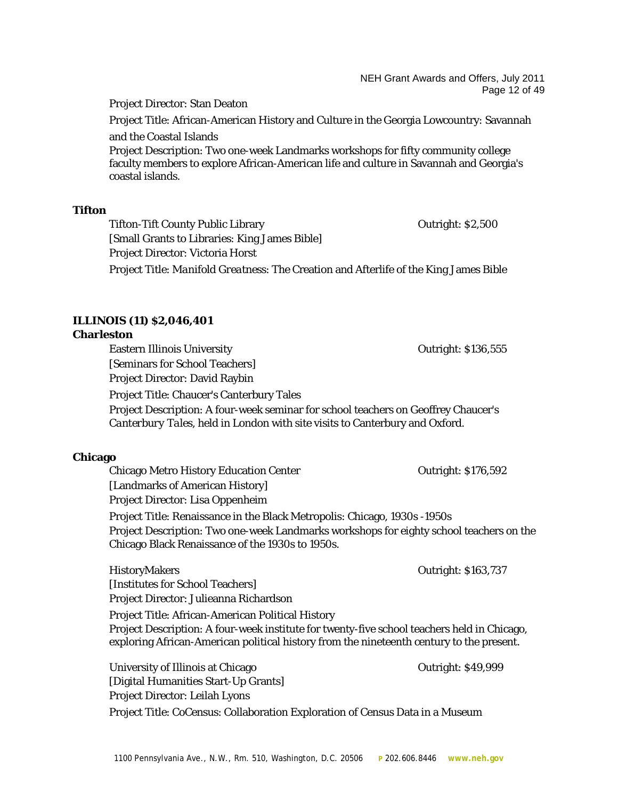#### NEH Grant Awards and Offers, July 2011 Page 12 of 49

Project Director: Stan Deaton

Project Title: African-American History and Culture in the Georgia Lowcountry: Savannah and the Coastal Islands

Project Description: Two one-week Landmarks workshops for fifty community college faculty members to explore African-American life and culture in Savannah and Georgia's coastal islands.

#### **Tifton**

Tifton-Tift County Public Library **Connect County Public Library Cutright: \$2,500** [Small Grants to Libraries: King James Bible] Project Director: Victoria Horst Project Title: *Manifold Greatness*: The Creation and Afterlife of the King James Bible

# **ILLINOIS (11) \$2,046,401**

#### **Charleston**

Eastern Illinois University Outright: \$136,555

[Seminars for School Teachers] Project Director: David Raybin

Project Title: Chaucer's Canterbury Tales

Project Description: A four-week seminar for school teachers on Geoffrey Chaucer's *Canterbury Tales*, held in London with site visits to Canterbury and Oxford.

#### **Chicago**

Chicago Metro History Education Center **Chicago Metro History Education Center Chicago Metro History Education Center** [Landmarks of American History] Project Director: Lisa Oppenheim Project Title: Renaissance in the Black Metropolis: Chicago, 1930s -1950s Project Description: Two one-week Landmarks workshops for eighty school teachers on the Chicago Black Renaissance of the 1930s to 1950s.

HistoryMakers Outright: \$163,737 [Institutes for School Teachers] Project Director: Julieanna Richardson

Project Title: African-American Political History Project Description: A four-week institute for twenty-five school teachers held in Chicago, exploring African-American political history from the nineteenth century to the present.

University of Illinois at Chicago **Outright: \$49,999** Outright: \$49,999 [Digital Humanities Start-Up Grants] Project Director: Leilah Lyons Project Title: CoCensus: Collaboration Exploration of Census Data in a Museum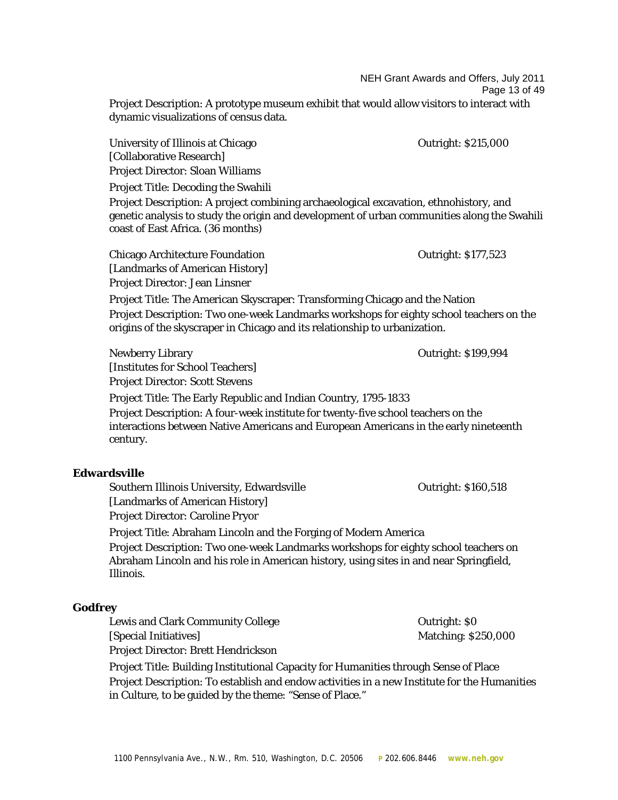NEH Grant Awards and Offers, July 2011

Page 13 of 49

Project Description: A prototype museum exhibit that would allow visitors to interact with dynamic visualizations of census data.

University of Illinois at Chicago **Dunity 19th** Countright: \$215,000 [Collaborative Research] Project Director: Sloan Williams Project Title: Decoding the Swahili Project Description: A project combining archaeological excavation, ethnohistory, and genetic analysis to study the origin and development of urban communities along the Swahili coast of East Africa. (36 months) Chicago Architecture Foundation Outright: \$177,523 [Landmarks of American History] Project Director: Jean Linsner Project Title: The American Skyscraper: Transforming Chicago and the Nation Project Description: Two one-week Landmarks workshops for eighty school teachers on the origins of the skyscraper in Chicago and its relationship to urbanization. Newberry Library Outright: \$199,994

[Institutes for School Teachers]

Project Director: Scott Stevens

Project Title: The Early Republic and Indian Country, 1795-1833 Project Description: A four-week institute for twenty-five school teachers on the interactions between Native Americans and European Americans in the early nineteenth century.

# **Edwardsville**

Southern Illinois University, Edwardsville **Supering Countral** Cutright: \$160,518

[Landmarks of American History]

Project Director: Caroline Pryor

Project Title: Abraham Lincoln and the Forging of Modern America

Project Description: Two one-week Landmarks workshops for eighty school teachers on Abraham Lincoln and his role in American history, using sites in and near Springfield, Illinois.

#### **Godfrey**

Lewis and Clark Community College Contright: \$0 [Special Initiatives] Matching: \$250,000 Project Director: Brett Hendrickson

Project Title: Building Institutional Capacity for Humanities through Sense of Place Project Description: To establish and endow activities in a new Institute for the Humanities in Culture, to be guided by the theme: "Sense of Place."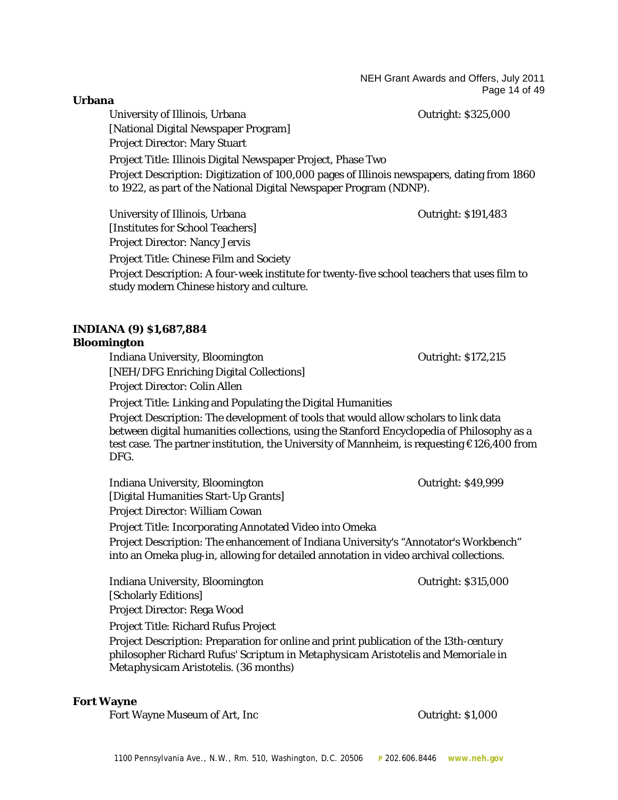NEH Grant Awards and Offers, July 2011 Page 14 of 49

**Urbana**

University of Illinois, Urbana Christian Controller and Outright: \$325,000 [National Digital Newspaper Program] Project Director: Mary Stuart Project Title: Illinois Digital Newspaper Project, Phase Two Project Description: Digitization of 100,000 pages of Illinois newspapers, dating from 1860 to 1922, as part of the National Digital Newspaper Program (NDNP).

University of Illinois, Urbana Christian Curright: \$191,483 [Institutes for School Teachers] Project Director: Nancy Jervis

Project Title: Chinese Film and Society

Project Description: A four-week institute for twenty-five school teachers that uses film to study modern Chinese history and culture.

# **INDIANA (9) \$1,687,884**

#### **Bloomington**

Indiana University, Bloomington Outright: \$172,215 [NEH/DFG Enriching Digital Collections] Project Director: Colin Allen

Project Title: Linking and Populating the Digital Humanities

Project Description: The development of tools that would allow scholars to link data between digital humanities collections, using the Stanford Encyclopedia of Philosophy as a test case. The partner institution, the University of Mannheim, is requesting €126,400 from DFG.

Indiana University, Bloomington **Construction Construction** Outright: \$49,999 [Digital Humanities Start-Up Grants] Project Director: William Cowan

Project Title: Incorporating Annotated Video into Omeka

Project Description: The enhancement of Indiana University's "Annotator's Workbench" into an Omeka plug-in, allowing for detailed annotation in video archival collections.

Indiana University, Bloomington Outright: \$315,000 [Scholarly Editions] Project Director: Rega Wood

Project Title: Richard Rufus Project

Project Description: Preparation for online and print publication of the 13th-century philosopher Richard Rufus' *Scriptum in Metaphysicam Aristotelis* and *Memoriale in Metaphysicam Aristotelis*. (36 months)

#### **Fort Wayne**

Fort Wayne Museum of Art, Inc **Fort Wayne Museum of Art, Inc Example 2018**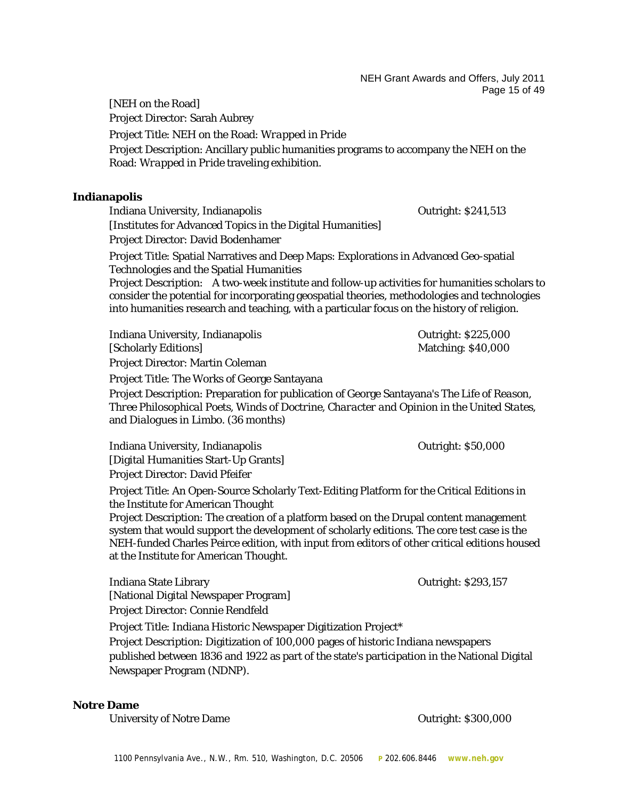NEH Grant Awards and Offers, July 2011 Page 15 of 49

[NEH on the Road] Project Director: Sarah Aubrey Project Title: NEH on the Road: *Wrapped in Pride* Project Description: Ancillary public humanities programs to accompany the NEH on the Road: *Wrapped in Pride* traveling exhibition.

#### **Indianapolis**

Indiana University, Indianapolis Outright: \$241,513 [Institutes for Advanced Topics in the Digital Humanities] Project Director: David Bodenhamer

Project Title: Spatial Narratives and Deep Maps: Explorations in Advanced Geo-spatial Technologies and the Spatial Humanities

Project Description: A two-week institute and follow-up activities for humanities scholars to consider the potential for incorporating geospatial theories, methodologies and technologies into humanities research and teaching, with a particular focus on the history of religion.

| Indiana University, Indianapolis        | <b>Outright: \$225,000</b> |
|-----------------------------------------|----------------------------|
| [Scholarly Editions]                    | <b>Matching: \$40,000</b>  |
| <b>Project Director: Martin Coleman</b> |                            |

Project Title: The Works of George Santayana

Project Description: Preparation for publication of George Santayana's *The Life of Reason*, *Three Philosophical Poets*, *Winds of Doctrine*, *Character and Opinion in the United States*, and *Dialogues in Limbo*. (36 months)

Indiana University, Indianapolis Outright: \$50,000 [Digital Humanities Start-Up Grants] Project Director: David Pfeifer

Project Title: An Open-Source Scholarly Text-Editing Platform for the Critical Editions in the Institute for American Thought

Project Description: The creation of a platform based on the Drupal content management system that would support the development of scholarly editions. The core test case is the NEH-funded Charles Peirce edition, with input from editors of other critical editions housed at the Institute for American Thought.

Indiana State Library Outright: \$293,157 [National Digital Newspaper Program] Project Director: Connie Rendfeld

Project Title: Indiana Historic Newspaper Digitization Project\*

Project Description: Digitization of 100,000 pages of historic Indiana newspapers published between 1836 and 1922 as part of the state's participation in the National Digital Newspaper Program (NDNP).

#### **Notre Dame**

University of Notre Dame **Outright: \$300,000**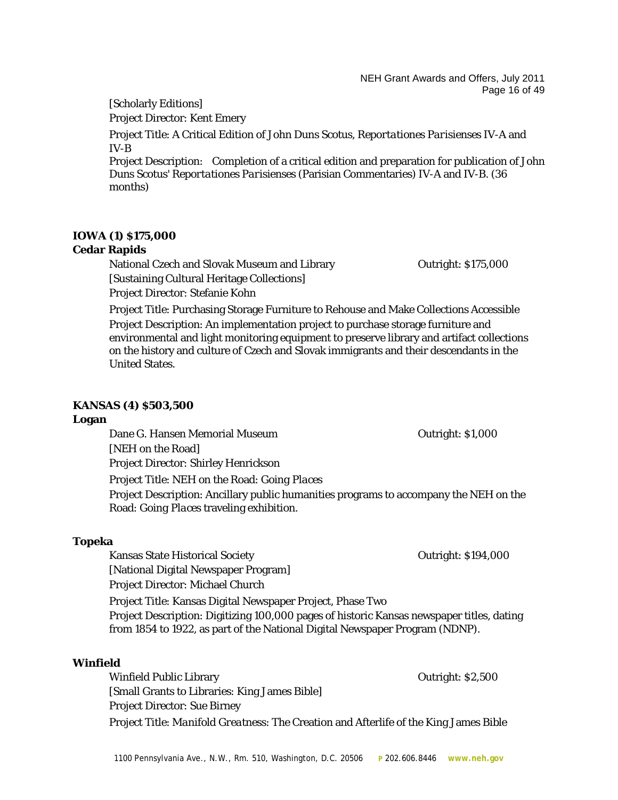NEH Grant Awards and Offers, July 2011 Page 16 of 49

# [Scholarly Editions]

Project Director: Kent Emery

Project Title: A Critical Edition of John Duns Scotus, *Reportationes Parisienses* IV-A and IV-B

Project Description: Completion of a critical edition and preparation for publication of John Duns Scotus' *Reportationes Parisienses* (Parisian Commentaries) IV-A and IV-B. (36 months)

# **IOWA (1) \$175,000**

# **Cedar Rapids**

National Czech and Slovak Museum and Library **Canadian Care Accord Contract Accord Care Accord Contract Accord** [Sustaining Cultural Heritage Collections] Project Director: Stefanie Kohn

Project Title: Purchasing Storage Furniture to Rehouse and Make Collections Accessible Project Description: An implementation project to purchase storage furniture and environmental and light monitoring equipment to preserve library and artifact collections on the history and culture of Czech and Slovak immigrants and their descendants in the United States.

# **KANSAS (4) \$503,500**

#### **Logan**

Dane G. Hansen Memorial Museum Outright: \$1,000 [NEH on the Road] Project Director: Shirley Henrickson Project Title: NEH on the Road: *Going Places* Project Description: Ancillary public humanities programs to accompany the NEH on the Road: *Going Places* traveling exhibition.

#### **Topeka**

Kansas State Historical Society Outright: \$194,000

[National Digital Newspaper Program]

Project Director: Michael Church

Project Title: Kansas Digital Newspaper Project, Phase Two

Project Description: Digitizing 100,000 pages of historic Kansas newspaper titles, dating from 1854 to 1922, as part of the National Digital Newspaper Program (NDNP).

# **Winfield**

Winfield Public Library Outright: \$2,500 [Small Grants to Libraries: King James Bible] Project Director: Sue Birney Project Title: *Manifold Greatness*: The Creation and Afterlife of the King James Bible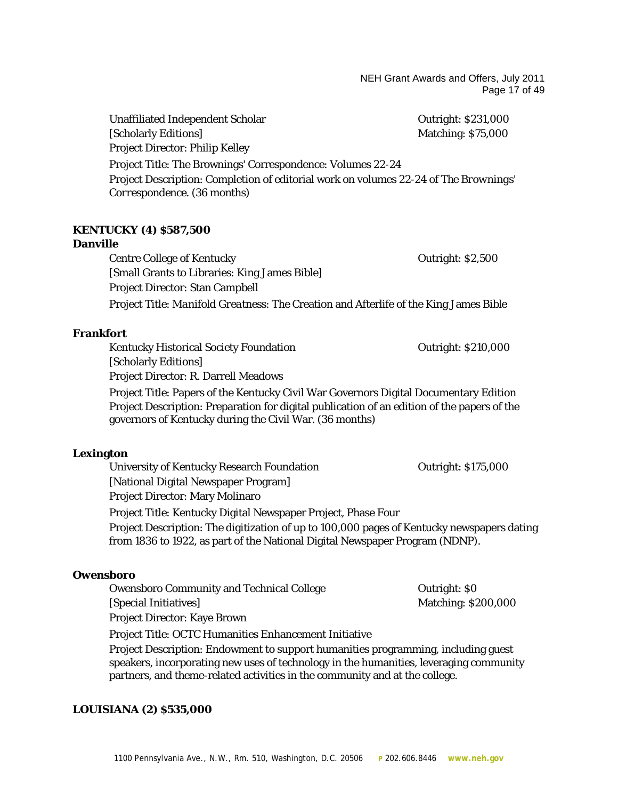NEH Grant Awards and Offers, July 2011 Page 17 of 49

Unaffiliated Independent Scholar **Communist Construction** Cutright: \$231,000 [Scholarly Editions] Matching: \$75,000 Project Director: Philip Kelley Project Title: The Brownings' Correspondence: Volumes 22-24 Project Description: Completion of editorial work on volumes 22-24 of *The Brownings' Correspondence*. (36 months)

# **KENTUCKY (4) \$587,500**

#### **Danville**

Centre College of Kentucky **CENTER 1988** Outright: \$2,500 [Small Grants to Libraries: King James Bible] Project Director: Stan Campbell Project Title: *Manifold Greatness*: The Creation and Afterlife of the King James Bible

#### **Frankfort**

Kentucky Historical Society Foundation **Communist Contract Contract Contract Contract Contract Contract Contract** [Scholarly Editions] Project Director: R. Darrell Meadows

Project Title: Papers of the Kentucky Civil War Governors Digital Documentary Edition Project Description: Preparation for digital publication of an edition of the papers of the governors of Kentucky during the Civil War. (36 months)

#### **Lexington**

University of Kentucky Research Foundation **Contract Contract Contract Contract Contract Contract Contract Contract Contract Contract Contract Contract Contract Contract Contract Contract Contract Contract Contract Contrac** [National Digital Newspaper Program] Project Director: Mary Molinaro Project Title: Kentucky Digital Newspaper Project, Phase Four

Project Description: The digitization of up to 100,000 pages of Kentucky newspapers dating from 1836 to 1922, as part of the National Digital Newspaper Program (NDNP).

#### **Owensboro**

Owensboro Community and Technical College **Conventional College** Outright: \$0 [Special Initiatives] Matching: \$200,000 Project Director: Kaye Brown

Project Title: OCTC Humanities Enhancement Initiative

Project Description: Endowment to support humanities programming, including guest speakers, incorporating new uses of technology in the humanities, leveraging community partners, and theme-related activities in the community and at the college.

#### **LOUISIANA (2) \$535,000**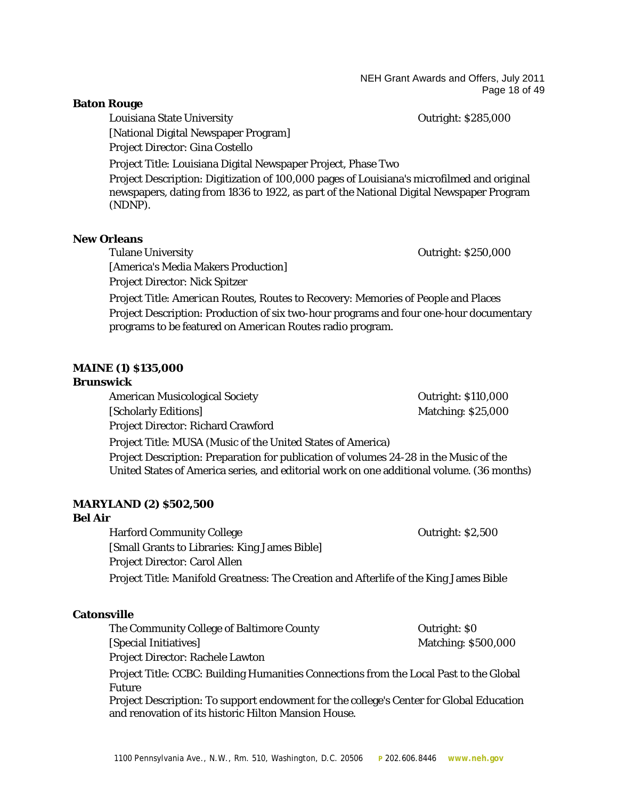NEH Grant Awards and Offers, July 2011 Page 18 of 49

#### **Baton Rouge**

Louisiana State University **Contract Contract Contract Contract Contract Contract Contract Contract Contract Contract Contract Contract Contract Contract Contract Contract Contract Contract Contract Contract Contract Contr** 

Project Director: Gina Costello

[National Digital Newspaper Program]

Project Title: Louisiana Digital Newspaper Project, Phase Two

Project Description: Digitization of 100,000 pages of Louisiana's microfilmed and original newspapers, dating from 1836 to 1922, as part of the National Digital Newspaper Program (NDNP).

#### **New Orleans**

Tulane University **Tulane University Outright: \$250,000** 

[America's Media Makers Production] Project Director: Nick Spitzer

Project Title: *American Routes*, Routes to Recovery: Memories of People and Places Project Description: Production of six two-hour programs and four one-hour documentary programs to be featured on *American Routes* radio program.

# **MAINE (1) \$135,000**

#### **Brunswick**

American Musicological Society **Outright: \$110,000** [Scholarly Editions] Matching: \$25,000 Project Director: Richard Crawford Project Title: MUSA (Music of the United States of America) Project Description: Preparation for publication of volumes 24-28 in the Music of the United States of America series, and editorial work on one additional volume. (36 months)

#### **MARYLAND (2) \$502,500**

# **Bel Air**

Harford Community College **Community College Community College Contract Contract Contract Contract Contract Contract Contract Contract Contract Contract Contract Contract Contract Contract Contract Contract Contract Co** [Small Grants to Libraries: King James Bible] Project Director: Carol Allen Project Title: *Manifold Greatness*: The Creation and Afterlife of the King James Bible

#### **Catonsville**

The Community College of Baltimore County **County** Outright: \$0 [Special Initiatives] Matching: \$500,000 Project Director: Rachele Lawton

Project Title: CCBC: Building Humanities Connections from the Local Past to the Global Future

Project Description: To support endowment for the college's Center for Global Education and renovation of its historic Hilton Mansion House.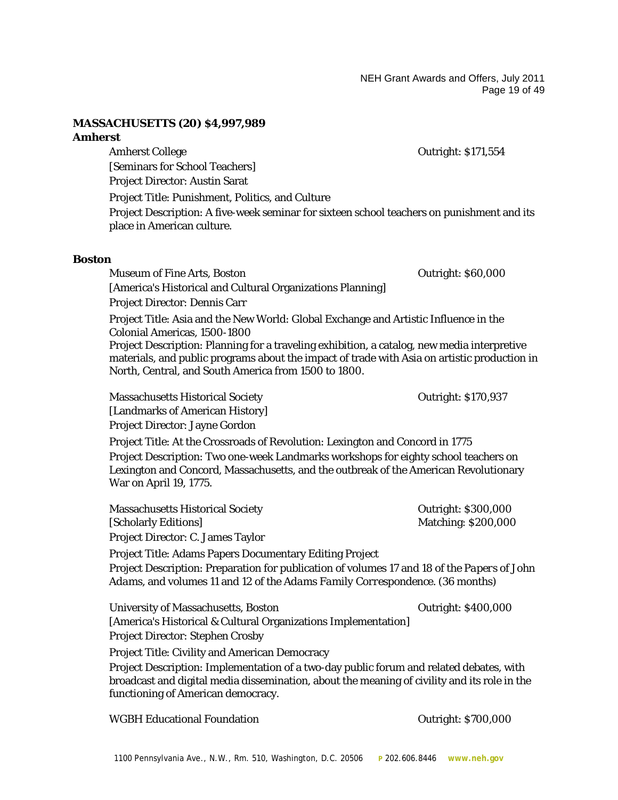NEH Grant Awards and Offers, July 2011 Page 19 of 49

#### **MASSACHUSETTS (20) \$4,997,989**

#### **Amherst**

Amherst College **Outright: \$171,554** 

[Seminars for School Teachers] Project Director: Austin Sarat

Project Title: Punishment, Politics, and Culture

Project Description: A five-week seminar for sixteen school teachers on punishment and its place in American culture.

#### **Boston**

Museum of Fine Arts, Boston Outright: \$60,000 [America's Historical and Cultural Organizations Planning] Project Director: Dennis Carr

Project Title: Asia and the New World: Global Exchange and Artistic Influence in the Colonial Americas, 1500-1800

Project Description: Planning for a traveling exhibition, a catalog, new media interpretive materials, and public programs about the impact of trade with Asia on artistic production in North, Central, and South America from 1500 to 1800.

Massachusetts Historical Society Outright: \$170,937 [Landmarks of American History] Project Director: Jayne Gordon

Project Title: At the Crossroads of Revolution: Lexington and Concord in 1775 Project Description: Two one-week Landmarks workshops for eighty school teachers on Lexington and Concord, Massachusetts, and the outbreak of the American Revolutionary War on April 19, 1775.

| <b>Massachusetts Historical Society</b> | <b>Outright: \$300,000</b> |
|-----------------------------------------|----------------------------|
| [Scholarly Editions]                    | <b>Matching: \$200,000</b> |
| Project Director: C. James Taylor       |                            |

Project Title: Adams Papers Documentary Editing Project Project Description: Preparation for publication of volumes 17 and 18 of the *Papers of John Adams*, and volumes 11 and 12 of the *Adams Family Correspondence*. (36 months)

University of Massachusetts, Boston **Department** Outright: \$400,000 [America's Historical & Cultural Organizations Implementation] Project Director: Stephen Crosby

Project Title: Civility and American Democracy

Project Description: Implementation of a two-day public forum and related debates, with broadcast and digital media dissemination, about the meaning of civility and its role in the functioning of American democracy.

WGBH Educational Foundation **CONCORDITY CONTROLLY 1868** Outright: \$700,000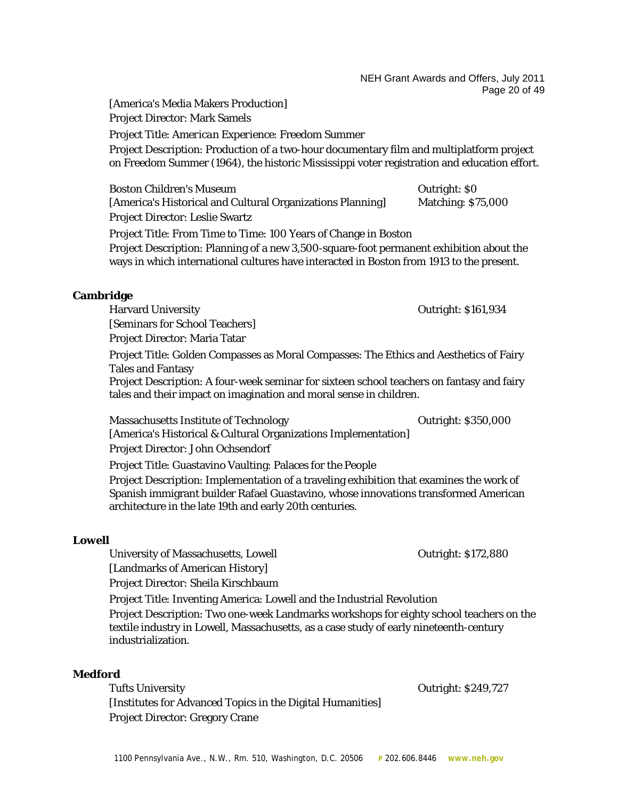NEH Grant Awards and Offers, July 2011 Page 20 of 49

[America's Media Makers Production] Project Director: Mark Samels

Project Title: *American Experience*: Freedom Summer

Project Description: Production of a two-hour documentary film and multiplatform project on Freedom Summer (1964), the historic Mississippi voter registration and education effort.

Boston Children's Museum **Outright: SO** [America's Historical and Cultural Organizations Planning] Matching: \$75,000 Project Director: Leslie Swartz Project Title: From Time to Time: 100 Years of Change in Boston Project Description: Planning of a new 3,500-square-foot permanent exhibition about the ways in which international cultures have interacted in Boston from 1913 to the present.

Harvard University **Calculation** Outright: \$161,934 [Seminars for School Teachers] Project Director: Maria Tatar Project Title: Golden Compasses as Moral Compasses: The Ethics and Aesthetics of Fairy Tales and Fantasy Project Description: A four-week seminar for sixteen school teachers on fantasy and fairy tales and their impact on imagination and moral sense in children.

Massachusetts Institute of Technology Outright: \$350,000

[America's Historical & Cultural Organizations Implementation] Project Director: John Ochsendorf

Project Title: Guastavino Vaulting: Palaces for the People

Project Description: Implementation of a traveling exhibition that examines the work of Spanish immigrant builder Rafael Guastavino, whose innovations transformed American architecture in the late 19th and early 20th centuries.

# **Lowell**

University of Massachusetts, Lowell **Example 20** Outright: \$172,880 [Landmarks of American History]

Project Director: Sheila Kirschbaum

Project Title: Inventing America: Lowell and the Industrial Revolution

Project Description: Two one-week Landmarks workshops for eighty school teachers on the textile industry in Lowell, Massachusetts, as a case study of early nineteenth-century industrialization.

#### **Medford**

Tufts University Outright: \$249,727 [Institutes for Advanced Topics in the Digital Humanities] Project Director: Gregory Crane

**Cambridge**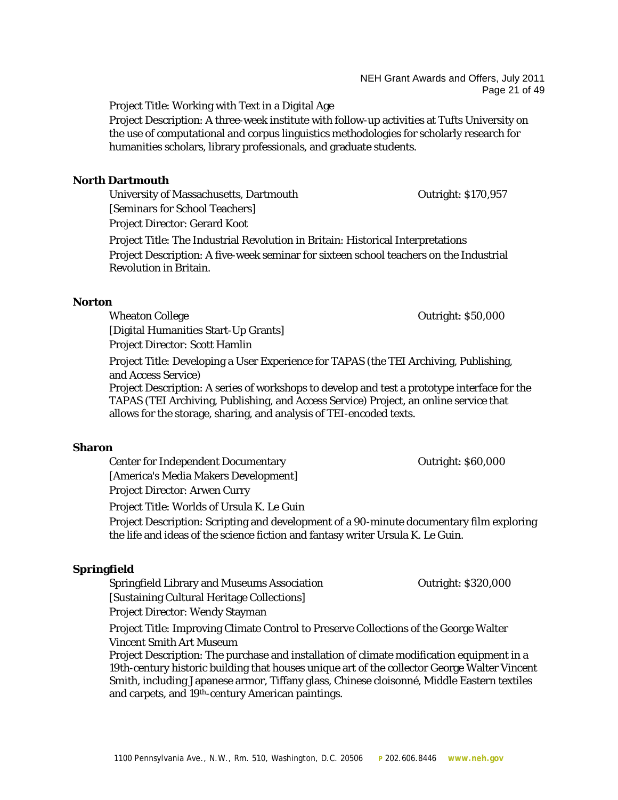Project Title: Working with Text in a Digital Age

Project Description: A three-week institute with follow-up activities at Tufts University on the use of computational and corpus linguistics methodologies for scholarly research for humanities scholars, library professionals, and graduate students.

# **North Dartmouth**

University of Massachusetts, Dartmouth **Communisty** Cutright: \$170,957 [Seminars for School Teachers] Project Director: Gerard Koot

Project Title: The Industrial Revolution in Britain: Historical Interpretations Project Description: A five-week seminar for sixteen school teachers on the Industrial Revolution in Britain.

# **Norton**

Wheaton College **Outright: \$50,000** [Digital Humanities Start-Up Grants] Project Director: Scott Hamlin

Project Title: Developing a User Experience for TAPAS (the TEI Archiving, Publishing, and Access Service)

Project Description: A series of workshops to develop and test a prototype interface for the TAPAS (TEI Archiving, Publishing, and Access Service) Project, an online service that allows for the storage, sharing, and analysis of TEI-encoded texts.

# **Sharon**

Center for Independent Documentary Outright: \$60,000 [America's Media Makers Development] Project Director: Arwen Curry

Project Title: Worlds of Ursula K. Le Guin

Project Description: Scripting and development of a 90-minute documentary film exploring the life and ideas of the science fiction and fantasy writer Ursula K. Le Guin.

# **Springfield**

Springfield Library and Museums Association **Container Containers** Outright: \$320,000 [Sustaining Cultural Heritage Collections] Project Director: Wendy Stayman

Project Title: Improving Climate Control to Preserve Collections of the George Walter Vincent Smith Art Museum

Project Description: The purchase and installation of climate modification equipment in a 19th-century historic building that houses unique art of the collector George Walter Vincent Smith, including Japanese armor, Tiffany glass, Chinese cloisonné, Middle Eastern textiles and carpets, and 19<sup>th</sup>-century American paintings.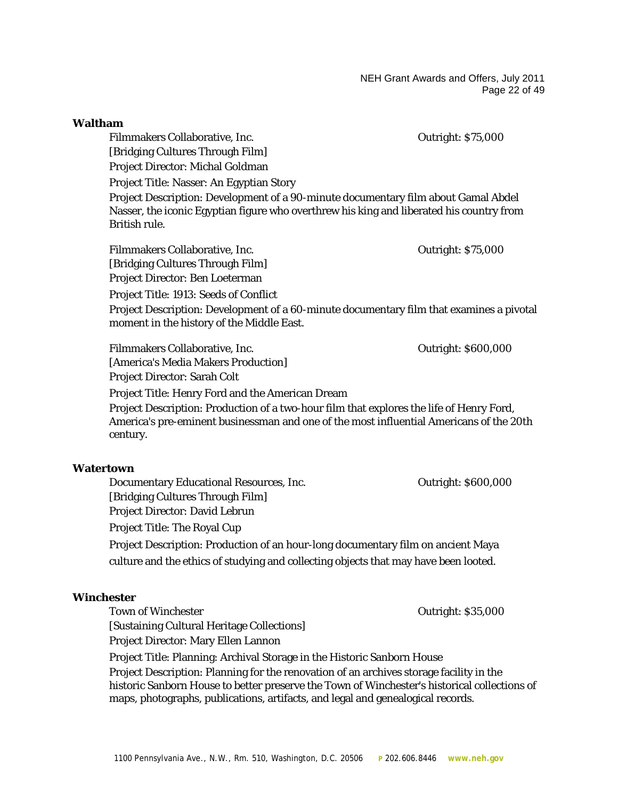NEH Grant Awards and Offers, July 2011 Page 22 of 49

| Waltham                                                                                                                               |                           |
|---------------------------------------------------------------------------------------------------------------------------------------|---------------------------|
| Filmmakers Collaborative, Inc.                                                                                                        | <b>Outright: \$75,000</b> |
| [Bridging Cultures Through Film]                                                                                                      |                           |
| Project Director: Michal Goldman                                                                                                      |                           |
| Project Title: Nasser: An Egyptian Story                                                                                              |                           |
| Project Description: Development of a 90-minute documentary film about Gamal Abdel                                                    |                           |
| Nasser, the iconic Egyptian figure who overthrew his king and liberated his country from                                              |                           |
| British rule.                                                                                                                         |                           |
| Filmmakers Collaborative, Inc.                                                                                                        | <b>Outright: \$75,000</b> |
| [Bridging Cultures Through Film]                                                                                                      |                           |
| Project Director: Ben Loeterman                                                                                                       |                           |
| Project Title: 1913: Seeds of Conflict                                                                                                |                           |
| Project Description: Development of a 60-minute documentary film that examines a pivotal<br>moment in the history of the Middle East. |                           |
| Filmmakers Collaborative, Inc.                                                                                                        | Outright: \$600,000       |
| [America's Media Makers Production]                                                                                                   |                           |
|                                                                                                                                       |                           |

Project Director: Sarah Colt Project Title: Henry Ford and the American Dream Project Description: Production of a two-hour film that explores the life of Henry Ford, America's pre-eminent businessman and one of the most influential Americans of the 20th century.

#### **Watertown**

Documentary Educational Resources, Inc.  $\qquad \qquad$  Outright: \$600,000 [Bridging Cultures Through Film] Project Director: David Lebrun Project Title: The Royal Cup Project Description: Production of an hour-long documentary film on ancient Maya culture and the ethics of studying and collecting objects that may have been looted.

#### **Winchester**

Town of Winchester **Contract Contract Contract Contract Contract Contract Contract Contract Contract Contract Contract Contract Contract Contract Contract Contract Contract Contract Contract Contract Contract Contract Cont** [Sustaining Cultural Heritage Collections] Project Director: Mary Ellen Lannon Project Title: Planning: Archival Storage in the Historic Sanborn House Project Description: Planning for the renovation of an archives storage facility in the historic Sanborn House to better preserve the Town of Winchester's historical collections of maps, photographs, publications, artifacts, and legal and genealogical records.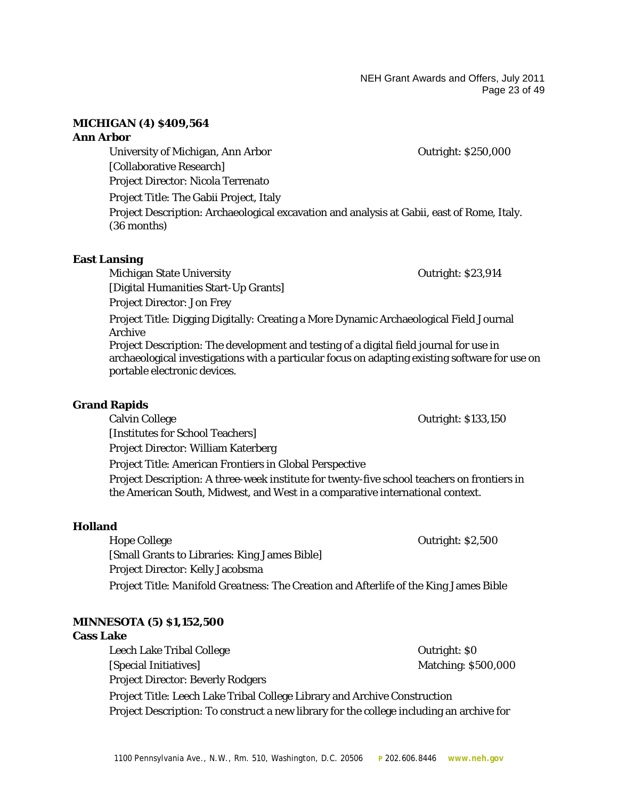NEH Grant Awards and Offers, July 2011 Page 23 of 49

#### **MICHIGAN (4) \$409,564**

#### **Ann Arbor**

University of Michigan, Ann Arbor **Canadian Arbor** Cutright: \$250,000 [Collaborative Research] Project Director: Nicola Terrenato Project Title: The Gabii Project, Italy Project Description: Archaeological excavation and analysis at Gabii, east of Rome, Italy. (36 months)

#### **East Lansing**

Michigan State University **State State State Outright: \$23,914** [Digital Humanities Start-Up Grants]

Project Director: Jon Frey

Project Title: Digging Digitally: Creating a More Dynamic Archaeological Field Journal Archive

Project Description: The development and testing of a digital field journal for use in archaeological investigations with a particular focus on adapting existing software for use on portable electronic devices.

#### **Grand Rapids**

Calvin College Outright: \$133,150 [Institutes for School Teachers]

Project Director: William Katerberg

Project Title: American Frontiers in Global Perspective

Project Description: A three-week institute for twenty-five school teachers on frontiers in the American South, Midwest, and West in a comparative international context.

#### **Holland**

Hope College **Outright: \$2,500** [Small Grants to Libraries: King James Bible] Project Director: Kelly Jacobsma Project Title: *Manifold Greatness*: The Creation and Afterlife of the King James Bible

# **MINNESOTA (5) \$1,152,500**

#### **Cass Lake**

Leech Lake Tribal College **Department College** Cutright: \$0 [Special Initiatives] Matching: \$500,000 Project Director: Beverly Rodgers Project Title: Leech Lake Tribal College Library and Archive Construction Project Description: To construct a new library for the college including an archive for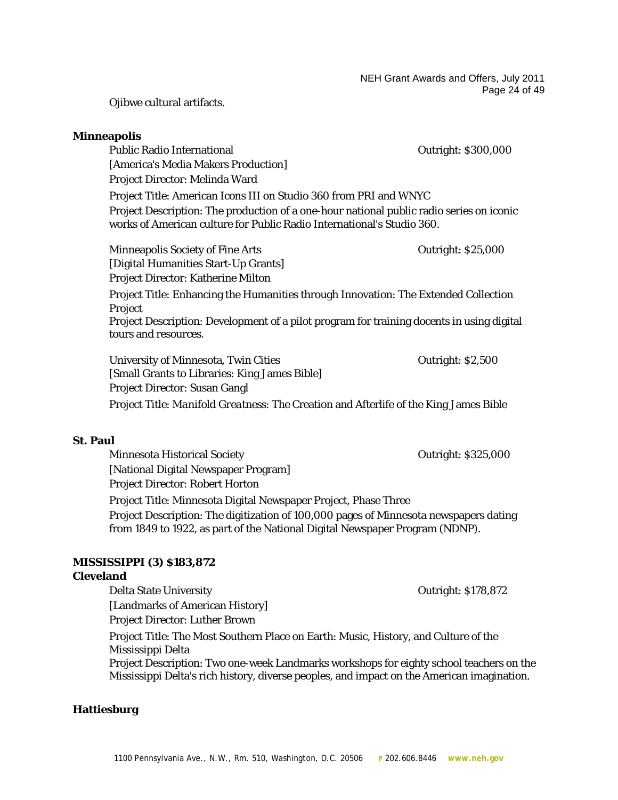Ojibwe cultural artifacts.

#### **Minneapolis**

Public Radio International Dublic Radio International Dublic Radio International [America's Media Makers Production] Project Director: Melinda Ward Project Title: American Icons III on *Studio 360* from PRI and WNYC Project Description: The production of a one-hour national public radio series on iconic works of American culture for Public Radio International's *Studio 360*. Minneapolis Society of Fine Arts **Conserversity** Conserversity Conserversity Conserversity Conserversity Conserversity Conserversity Conserversity Conserversity Conserversity Conserversity Conserversity Conserversity Conse [Digital Humanities Start-Up Grants] Project Director: Katherine Milton Project Title: Enhancing the Humanities through Innovation: The Extended Collection Project Project Description: Development of a pilot program for training docents in using digital

tours and resources.

University of Minnesota, Twin Cities **Channel Accord Contract Contract Contract Contract Contract Contract Contract Contract Contract Contract Contract Contract Contract Contract Contract Contract Contract Contract Contrac** [Small Grants to Libraries: King James Bible] Project Director: Susan Gangl Project Title: *Manifold Greatness*: The Creation and Afterlife of the King James Bible

#### **St. Paul**

Minnesota Historical Society **Outright: \$325,000** [National Digital Newspaper Program] Project Director: Robert Horton Project Title: Minnesota Digital Newspaper Project, Phase Three Project Description: The digitization of 100,000 pages of Minnesota newspapers dating from 1849 to 1922, as part of the National Digital Newspaper Program (NDNP).

#### **MISSISSIPPI (3) \$183,872**

#### **Cleveland**

Delta State University Outright: \$178,872 [Landmarks of American History] Project Director: Luther Brown Project Title: The Most Southern Place on Earth: Music, History, and Culture of the Mississippi Delta Project Description: Two one-week Landmarks workshops for eighty school teachers on the Mississippi Delta's rich history, diverse peoples, and impact on the American imagination.

#### **Hattiesburg**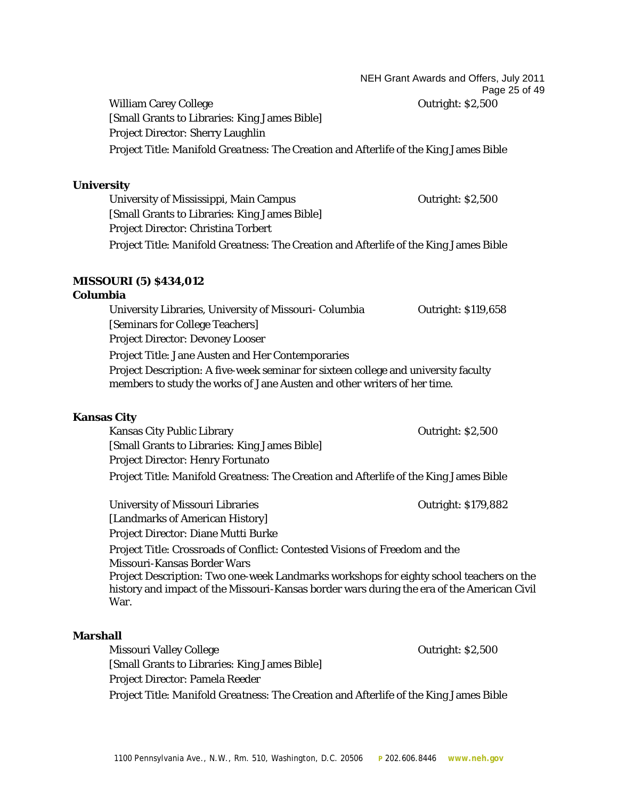NEH Grant Awards and Offers, July 2011 Page 25 of 49

William Carey College **Outright: \$2,500** [Small Grants to Libraries: King James Bible] Project Director: Sherry Laughlin Project Title: *Manifold Greatness*: The Creation and Afterlife of the King James Bible

#### **University**

University of Mississippi, Main Campus **Campus Cutright: \$2,500** [Small Grants to Libraries: King James Bible] Project Director: Christina Torbert Project Title: *Manifold Greatness*: The Creation and Afterlife of the King James Bible

# **MISSOURI (5) \$434,012**

# **Columbia**

University Libraries, University of Missouri- Columbia Outright: \$119,658 [Seminars for College Teachers] Project Director: Devoney Looser Project Title: Jane Austen and Her Contemporaries Project Description: A five-week seminar for sixteen college and university faculty members to study the works of Jane Austen and other writers of her time.

# **Kansas City**

Kansas City Public Library **Construction Construction Construction** Cutright: \$2,500 [Small Grants to Libraries: King James Bible] Project Director: Henry Fortunato Project Title: *Manifold Greatness*: The Creation and Afterlife of the King James Bible

University of Missouri Libraries **Containers** Outright: \$179,882 [Landmarks of American History] Project Director: Diane Mutti Burke Project Title: Crossroads of Conflict: Contested Visions of Freedom and the Missouri-Kansas Border Wars Project Description: Two one-week Landmarks workshops for eighty school teachers on the history and impact of the Missouri-Kansas border wars during the era of the American Civil War.

#### **Marshall**

Missouri Valley College Outright: \$2,500 [Small Grants to Libraries: King James Bible] Project Director: Pamela Reeder Project Title: *Manifold Greatness*: The Creation and Afterlife of the King James Bible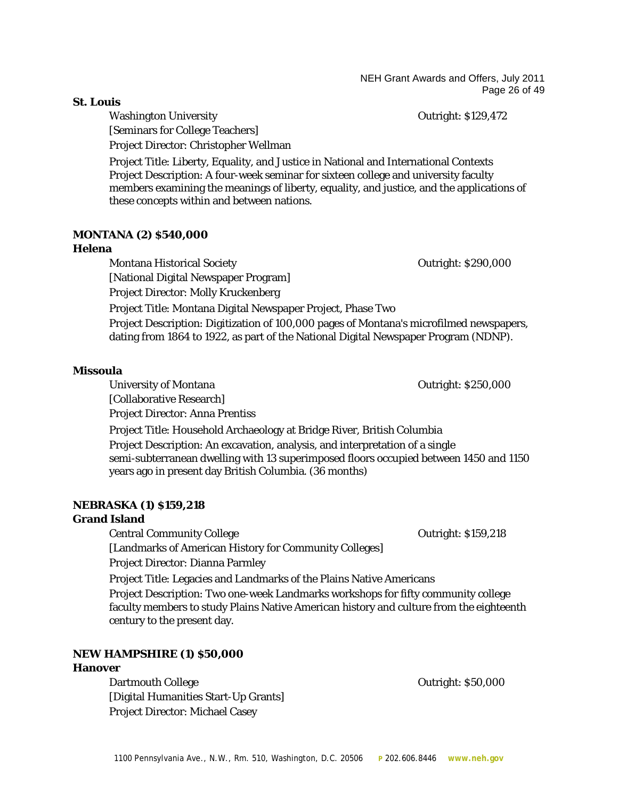NEH Grant Awards and Offers, July 2011 Page 26 of 49

Washington University **Contract Contract Contract Contract Contract Contract Contract Contract Contract Contract Contract Contract Contract Contract Contract Contract Contract Contract Contract Contract Contract Contract C** [Seminars for College Teachers] Project Director: Christopher Wellman

Project Title: Liberty, Equality, and Justice in National and International Contexts Project Description: A four-week seminar for sixteen college and university faculty members examining the meanings of liberty, equality, and justice, and the applications of these concepts within and between nations.

# **MONTANA (2) \$540,000**

# **Helena**

Montana Historical Society **No. 2018** 2018 12:30 Outright: \$290,000 [National Digital Newspaper Program] Project Director: Molly Kruckenberg Project Title: Montana Digital Newspaper Project, Phase Two Project Description: Digitization of 100,000 pages of Montana's microfilmed newspapers, dating from 1864 to 1922, as part of the National Digital Newspaper Program (NDNP).

# **Missoula**

University of Montana and America of Montana Controllering Controllering Controllering Outright: \$250,000

[Collaborative Research]

Project Director: Anna Prentiss

Project Title: Household Archaeology at Bridge River, British Columbia Project Description: An excavation, analysis, and interpretation of a single semi-subterranean dwelling with 13 superimposed floors occupied between 1450 and 1150 years ago in present day British Columbia. (36 months)

# **NEBRASKA (1) \$159,218**

# **Grand Island**

Central Community College Outright: \$159,218

[Landmarks of American History for Community Colleges]

Project Director: Dianna Parmley

Project Title: Legacies and Landmarks of the Plains Native Americans

Project Description: Two one-week Landmarks workshops for fifty community college faculty members to study Plains Native American history and culture from the eighteenth century to the present day.

# **NEW HAMPSHIRE (1) \$50,000**

# **Hanover**

Dartmouth College Outright: \$50,000 [Digital Humanities Start-Up Grants] Project Director: Michael Casey

# **St. Louis**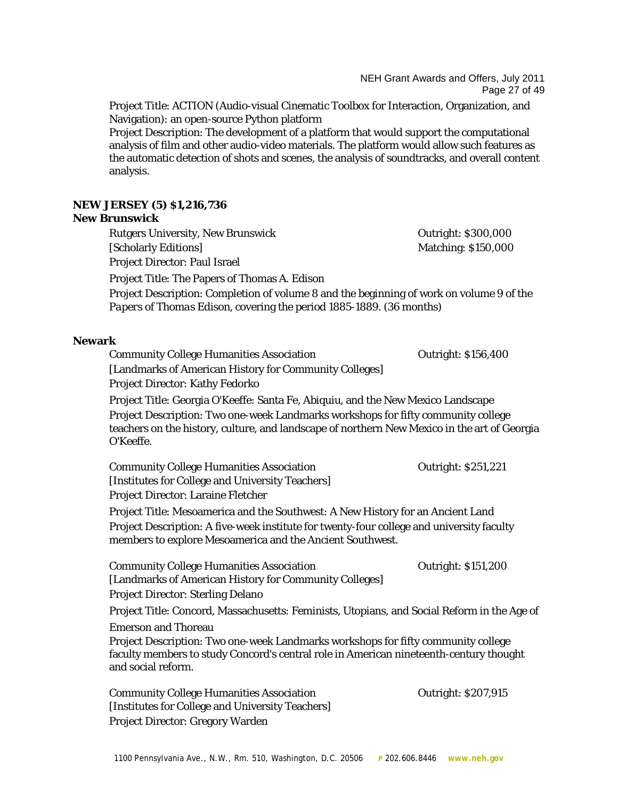NEH Grant Awards and Offers, July 2011 Page 27 of 49

Project Title: ACTION (Audio-visual Cinematic Toolbox for Interaction, Organization, and Navigation): an open-source Python platform

Project Description: The development of a platform that would support the computational analysis of film and other audio-video materials. The platform would allow such features as the automatic detection of shots and scenes, the analysis of soundtracks, and overall content analysis.

# **NEW JERSEY (5) \$1,216,736**

#### **New Brunswick**

Rutgers University, New Brunswick Contract Contract Contract Contract Contract Contract Contract Contract Contract Contract Contract Contract Contract Contract Contract Contract Contract Contract Contract Contract Contract [Scholarly Editions] Matching: \$150,000 Project Director: Paul Israel

Project Title: The Papers of Thomas A. Edison

Project Description: Completion of volume 8 and the beginning of work on volume 9 of the *Papers of Thomas Edison*, covering the period 1885-1889. (36 months)

#### **Newark**

Community College Humanities Association Outright: \$156,400 [Landmarks of American History for Community Colleges] Project Director: Kathy Fedorko

Project Title: Georgia O'Keeffe: Santa Fe, Abiquiu, and the New Mexico Landscape Project Description: Two one-week Landmarks workshops for fifty community college teachers on the history, culture, and landscape of northern New Mexico in the art of Georgia O'Keeffe.

Community College Humanities Association Outright: \$251,221 [Institutes for College and University Teachers] Project Director: Laraine Fletcher

Project Title: Mesoamerica and the Southwest: A New History for an Ancient Land Project Description: A five-week institute for twenty-four college and university faculty members to explore Mesoamerica and the Ancient Southwest.

Community College Humanities Association **Contract Contract Contract Contract Contract** Contract Contract Contract Contract Contract Contract Contract Contract Contract Contract Contract Contract Contract Contract Contract [Landmarks of American History for Community Colleges] Project Director: Sterling Delano

Project Title: Concord, Massachusetts: Feminists, Utopians, and Social Reform in the Age of

Emerson and Thoreau

Project Description: Two one-week Landmarks workshops for fifty community college faculty members to study Concord's central role in American nineteenth-century thought and social reform.

Community College Humanities Association Outright: \$207,915 [Institutes for College and University Teachers] Project Director: Gregory Warden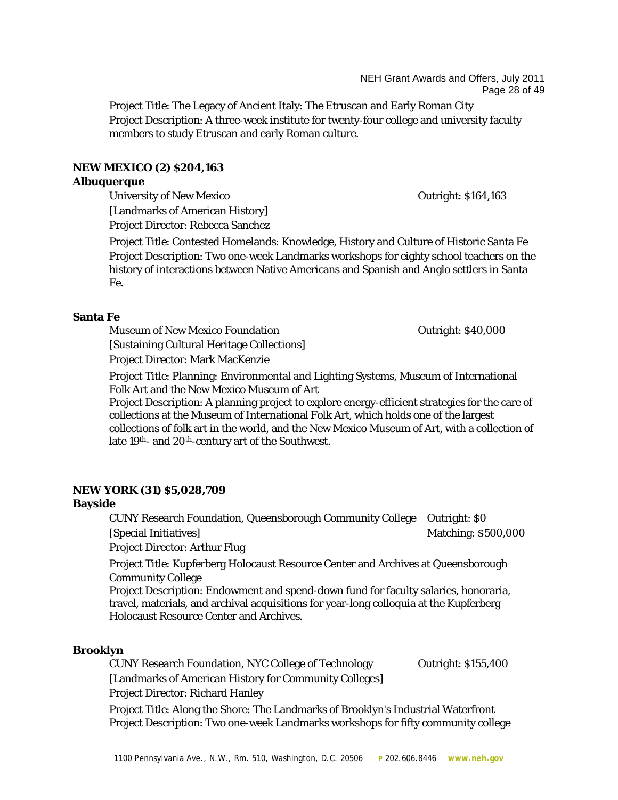Project Title: The Legacy of Ancient Italy: The Etruscan and Early Roman City Project Description: A three-week institute for twenty-four college and university faculty members to study Etruscan and early Roman culture.

# **NEW MEXICO (2) \$204,163**

#### **Albuquerque**

University of New Mexico **Contract Contract Contract Contract Contract Contract Contract Contract Contract Contract Contract Contract Contract Contract Contract Contract Contract Contract Contract Contract Contract Contrac** [Landmarks of American History] Project Director: Rebecca Sanchez

Project Title: Contested Homelands: Knowledge, History and Culture of Historic Santa Fe Project Description: Two one-week Landmarks workshops for eighty school teachers on the history of interactions between Native Americans and Spanish and Anglo settlers in Santa Fe.

# **Santa Fe**

Museum of New Mexico Foundation **Contract Contract Contract Contract Contract Contract Contract Contract Contract Contract Contract Contract Contract Contract Contract Contract Contract Contract Contract Contract Contract** [Sustaining Cultural Heritage Collections]

Project Director: Mark MacKenzie

Project Title: Planning: Environmental and Lighting Systems, Museum of International Folk Art and the New Mexico Museum of Art

Project Description: A planning project to explore energy-efficient strategies for the care of collections at the Museum of International Folk Art, which holds one of the largest collections of folk art in the world, and the New Mexico Museum of Art, with a collection of late 19th- and 20th-century art of the Southwest.

# **NEW YORK (31) \$5,028,709**

# **Bayside**

CUNY Research Foundation, Queensborough Community College Outright: \$0 [Special Initiatives] Matching: \$500,000

Project Director: Arthur Flug

Project Title: Kupferberg Holocaust Resource Center and Archives at Queensborough Community College

Project Description: Endowment and spend-down fund for faculty salaries, honoraria, travel, materials, and archival acquisitions for year-long colloquia at the Kupferberg Holocaust Resource Center and Archives.

# **Brooklyn**

CUNY Research Foundation, NYC College of Technology Outright: \$155,400 [Landmarks of American History for Community Colleges] Project Director: Richard Hanley

Project Title: Along the Shore: The Landmarks of Brooklyn's Industrial Waterfront Project Description: Two one-week Landmarks workshops for fifty community college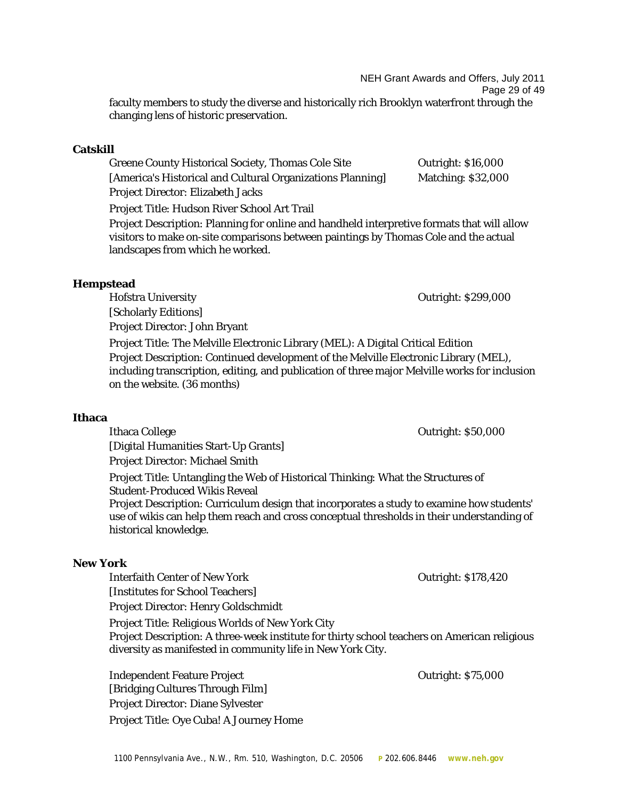1100 Pennsylvania Ave., N.W., Rm. 510, Washington, D.C. 20506 **P** 202.606.8446 **www.neh.gov**

NEH Grant Awards and Offers, July 2011 Page 29 of 49 faculty members to study the diverse and historically rich Brooklyn waterfront through the

**Catskill**

Greene County Historical Society, Thomas Cole Site **Outright: \$16,000** [America's Historical and Cultural Organizations Planning] Matching: \$32,000 Project Director: Elizabeth Jacks Project Title: Hudson River School Art Trail

Project Description: Planning for online and handheld interpretive formats that will allow visitors to make on-site comparisons between paintings by Thomas Cole and the actual landscapes from which he worked.

# **Hempstead**

Hofstra University **Outright: \$299,000** 

[Scholarly Editions] Project Director: John Bryant

changing lens of historic preservation.

Project Title: The Melville Electronic Library (MEL): A Digital Critical Edition Project Description: Continued development of the Melville Electronic Library (MEL), including transcription, editing, and publication of three major Melville works for inclusion on the website. (36 months)

#### **Ithaca**

Ithaca College **Outright: \$50,000** [Digital Humanities Start-Up Grants] Project Director: Michael Smith

Project Title: Untangling the Web of Historical Thinking: What the Structures of Student-Produced Wikis Reveal

Project Description: Curriculum design that incorporates a study to examine how students' use of wikis can help them reach and cross conceptual thresholds in their understanding of historical knowledge.

# **New York**

Interfaith Center of New York Cutright: \$178,420

[Institutes for School Teachers]

Project Director: Henry Goldschmidt

Project Title: Religious Worlds of New York City Project Description: A three-week institute for thirty school teachers on American religious diversity as manifested in community life in New York City.

Independent Feature Project Outright: \$75,000 [Bridging Cultures Through Film] Project Director: Diane Sylvester Project Title: Oye Cuba! A Journey Home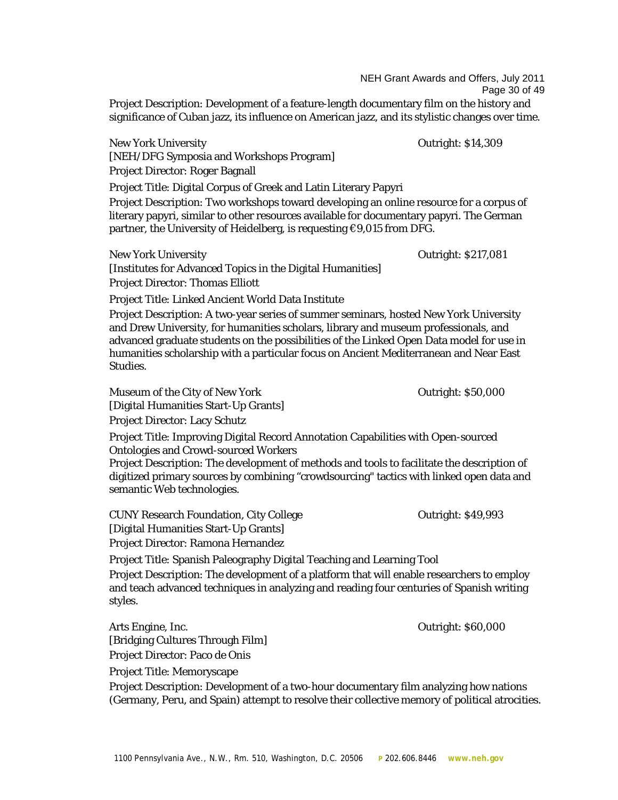NEH Grant Awards and Offers, July 2011 Page 30 of 49

Project Description: Development of a feature-length documentary film on the history and significance of Cuban jazz, its influence on American jazz, and its stylistic changes over time.

New York University Outright: \$14,309 [NEH/DFG Symposia and Workshops Program] Project Director: Roger Bagnall

Project Title: Digital Corpus of Greek and Latin Literary Papyri

Project Description: Two workshops toward developing an online resource for a corpus of literary papyri, similar to other resources available for documentary papyri. The German partner, the University of Heidelberg, is requesting  $\epsilon$ 9,015 from DFG.

New York University Outright: \$217,081

[Institutes for Advanced Topics in the Digital Humanities] Project Director: Thomas Elliott

Project Title: Linked Ancient World Data Institute

Project Description: A two-year series of summer seminars, hosted New York University and Drew University, for humanities scholars, library and museum professionals, and advanced graduate students on the possibilities of the Linked Open Data model for use in humanities scholarship with a particular focus on Ancient Mediterranean and Near East Studies.

Museum of the City of New York **Channel City of New York Contract City** Outright: \$50,000 [Digital Humanities Start-Up Grants] Project Director: Lacy Schutz

Project Title: Improving Digital Record Annotation Capabilities with Open-sourced Ontologies and Crowd-sourced Workers

Project Description: The development of methods and tools to facilitate the description of digitized primary sources by combining "crowdsourcing" tactics with linked open data and semantic Web technologies.

CUNY Research Foundation, City College **CUNY Contained Act 10 Foundation** Contright: \$49,993 [Digital Humanities Start-Up Grants] Project Director: Ramona Hernandez

Project Title: Spanish Paleography Digital Teaching and Learning Tool

Project Description: The development of a platform that will enable researchers to employ and teach advanced techniques in analyzing and reading four centuries of Spanish writing styles.

Arts Engine, Inc. **DETE** 2008 **CONSISTENT** 2008 **CONSISTENT** 2008 **CONSISTENT** 2008 [Bridging Cultures Through Film] Project Director: Paco de Onis Project Title: Memoryscape Project Description: Development of a two-hour documentary film analyzing how nations (Germany, Peru, and Spain) attempt to resolve their collective memory of political atrocities.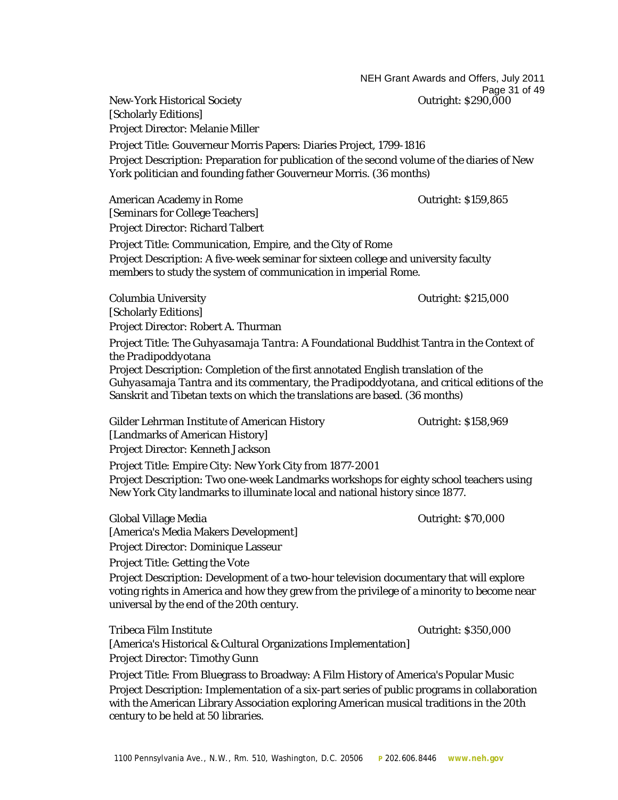NEH Grant Awards and Offers, July 2011 Page 31 of 49<br>Outright: \$290,000

[Scholarly Editions] Project Director: Melanie Miller Project Title: Gouverneur Morris Papers: Diaries Project, 1799-1816 Project Description: Preparation for publication of the second volume of the diaries of New York politician and founding father Gouverneur Morris. (36 months)

American Academy in Rome **Contract Contract Contract Contract Contract Contract Contract Contract Contract Contract Contract Contract Contract Contract Contract Contract Contract Contract Contract Contract Contract Contrac** [Seminars for College Teachers] Project Director: Richard Talbert Project Title: Communication, Empire, and the City of Rome Project Description: A five-week seminar for sixteen college and university faculty members to study the system of communication in imperial Rome.

Columbia University Outright: \$215,000 [Scholarly Editions] Project Director: Robert A. Thurman

New-York Historical Society

Project Title: The *Guhyasamaja Tantra*: A Foundational Buddhist Tantra in the Context of the *Pradipoddyotana* Project Description: Completion of the first annotated English translation of the *Guhyasamaja Tantra* and its commentary, the *Pradipoddyotana*, and critical editions of the Sanskrit and Tibetan texts on which the translations are based. (36 months)

Gilder Lehrman Institute of American History **Canadian Contact 1988**, 069 [Landmarks of American History] Project Director: Kenneth Jackson

[America's Media Makers Development] Project Director: Dominique Lasseur

Project Title: Empire City: New York City from 1877-2001 Project Description: Two one-week Landmarks workshops for eighty school teachers using New York City landmarks to illuminate local and national history since 1877.

Global Village Media **Outright: \$70,000** 

Project Title: Getting the Vote Project Description: Development of a two-hour television documentary that will explore voting rights in America and how they grew from the privilege of a minority to become near universal by the end of the 20th century.

Tribeca Film Institute **Outright: \$350,000** [America's Historical & Cultural Organizations Implementation] Project Director: Timothy Gunn

Project Title: From Bluegrass to Broadway: A Film History of America's Popular Music Project Description: Implementation of a six-part series of public programs in collaboration with the American Library Association exploring American musical traditions in the 20th century to be held at 50 libraries.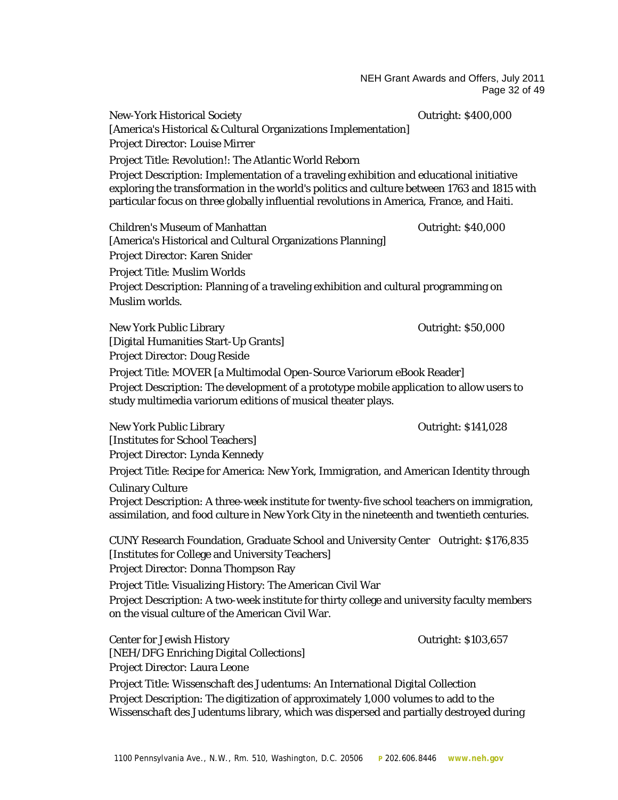NEH Grant Awards and Offers, July 2011 Page 32 of 49

New-York Historical Society Christopher Contright: \$400,000 [America's Historical & Cultural Organizations Implementation] Project Director: Louise Mirrer Project Title: Revolution!: The Atlantic World Reborn Project Description: Implementation of a traveling exhibition and educational initiative exploring the transformation in the world's politics and culture between 1763 and 1815 with particular focus on three globally influential revolutions in America, France, and Haiti. Children's Museum of Manhattan Outright: \$40,000 [America's Historical and Cultural Organizations Planning] Project Director: Karen Snider Project Title: Muslim Worlds

Project Description: Planning of a traveling exhibition and cultural programming on Muslim worlds.

New York Public Library New York Public Library New York Public Library Outright: \$50,000 [Digital Humanities Start-Up Grants] Project Director: Doug Reside

Project Title: MOVER [a Multimodal Open-Source Variorum eBook Reader] Project Description: The development of a prototype mobile application to allow users to study multimedia variorum editions of musical theater plays.

New York Public Library Outright: \$141,028 [Institutes for School Teachers] Project Director: Lynda Kennedy

Project Title: Recipe for America: New York, Immigration, and American Identity through Culinary Culture

Project Description: A three-week institute for twenty-five school teachers on immigration, assimilation, and food culture in New York City in the nineteenth and twentieth centuries.

CUNY Research Foundation, Graduate School and University Center Outright: \$176,835 [Institutes for College and University Teachers]

Project Director: Donna Thompson Ray

Project Title: Visualizing History: The American Civil War

Project Description: A two-week institute for thirty college and university faculty members on the visual culture of the American Civil War.

Center for Jewish History Outright: \$103,657 [NEH/DFG Enriching Digital Collections] Project Director: Laura Leone

Project Title: *Wissenschaft des Judentums*: An International Digital Collection Project Description: The digitization of approximately 1,000 volumes to add to the *Wissenschaft des Judentums* library, which was dispersed and partially destroyed during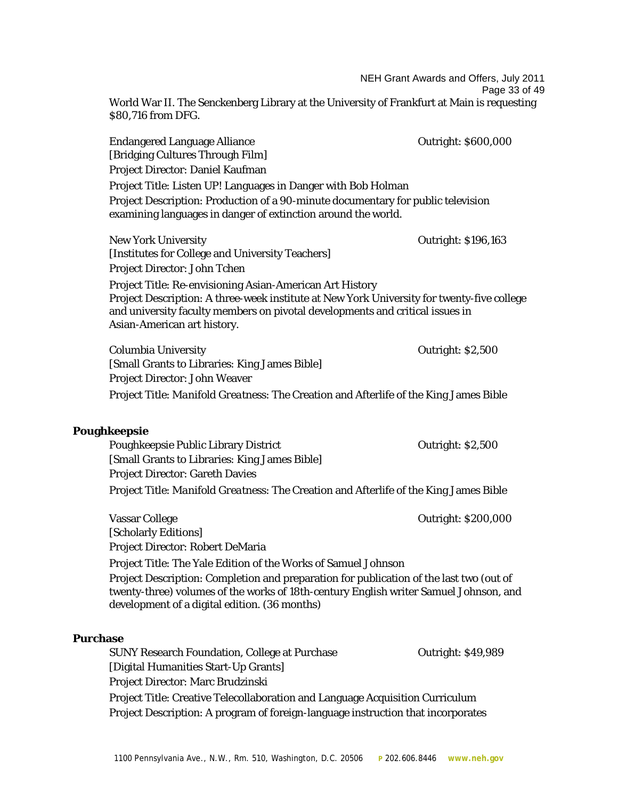NEH Grant Awards and Offers, July 2011 Page 33 of 49 World War II. The Senckenberg Library at the University of Frankfurt at Main is requesting \$80,716 from DFG. Endangered Language Alliance **Department Contract Contract Contract Contract Contract Contract Contract Contract Contract Contract Contract Contract Contract Contract Contract Contract Contract Contract Contract Contract C** [Bridging Cultures Through Film] Project Director: Daniel Kaufman Project Title: Listen UP! Languages in Danger with Bob Holman Project Description: Production of a 90-minute documentary for public television examining languages in danger of extinction around the world. New York University Outright: \$196,163 [Institutes for College and University Teachers] Project Director: John Tchen Project Title: Re-envisioning Asian-American Art History Project Description: A three-week institute at New York University for twenty-five college and university faculty members on pivotal developments and critical issues in Asian-American art history. Columbia University Outright: \$2,500 [Small Grants to Libraries: King James Bible] Project Director: John Weaver Project Title: *Manifold Greatness*: The Creation and Afterlife of the King James Bible **Poughkeepsie** Poughkeepsie Public Library District **Containers** Outright: \$2,500 [Small Grants to Libraries: King James Bible] Project Director: Gareth Davies Project Title: *Manifold Greatness*: The Creation and Afterlife of the King James Bible Vassar College College College College College College College College College College College College College [Scholarly Editions] Project Director: Robert DeMaria Project Title: The Yale Edition of the Works of Samuel Johnson Project Description: Completion and preparation for publication of the last two (out of twenty-three) volumes of the works of 18th-century English writer Samuel Johnson, and development of a digital edition. (36 months) **Purchase** SUNY Research Foundation, College at Purchase **Outright: \$49,989** [Digital Humanities Start-Up Grants] Project Director: Marc Brudzinski Project Title: Creative Telecollaboration and Language Acquisition Curriculum Project Description: A program of foreign-language instruction that incorporates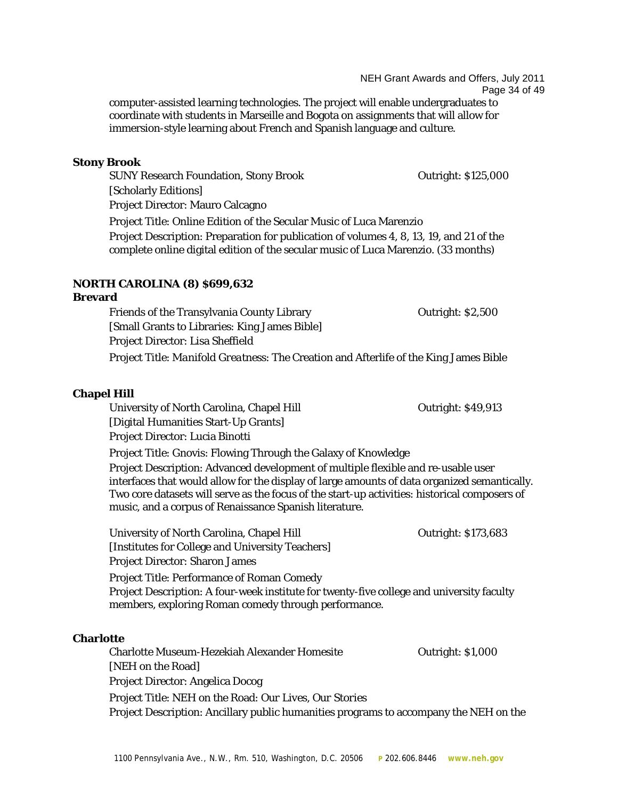NEH Grant Awards and Offers, July 2011 Page 34 of 49 computer-assisted learning technologies. The project will enable undergraduates to coordinate with students in Marseille and Bogota on assignments that will allow for immersion-style learning about French and Spanish language and culture.

#### **Stony Brook**

SUNY Research Foundation, Stony Brook **Outright: \$125,000** [Scholarly Editions] Project Director: Mauro Calcagno Project Title: Online Edition of the Secular Music of Luca Marenzio Project Description: Preparation for publication of volumes 4, 8, 13, 19, and 21 of the complete online digital edition of the secular music of Luca Marenzio. (33 months)

#### **NORTH CAROLINA (8) \$699,632**

**Brevard** Friends of the Transylvania County Library **The County Contract County County County County County** Cutright: \$2,500 [Small Grants to Libraries: King James Bible] Project Director: Lisa Sheffield Project Title: *Manifold Greatness*: The Creation and Afterlife of the King James Bible

#### **Chapel Hill**

University of North Carolina, Chapel Hill **Canadian Contract Contract Carolina**, Chapel Hill **Canadian Contract Contract Contract Contract Contract Contract Contract Contract Contract Contract Contract Contract Contract Co** [Digital Humanities Start-Up Grants] Project Director: Lucia Binotti Project Title: Gnovis: Flowing Through the Galaxy of Knowledge

Project Description: Advanced development of multiple flexible and re-usable user interfaces that would allow for the display of large amounts of data organized semantically. Two core datasets will serve as the focus of the start-up activities: historical composers of music, and a corpus of Renaissance Spanish literature.

University of North Carolina, Chapel Hill **Carolina** Outright: \$173,683 [Institutes for College and University Teachers] Project Director: Sharon James Project Title: Performance of Roman Comedy

Project Description: A four-week institute for twenty-five college and university faculty members, exploring Roman comedy through performance.

#### **Charlotte**

Charlotte Museum-Hezekiah Alexander Homesite Outright: \$1,000 [NEH on the Road] Project Director: Angelica Docog Project Title: NEH on the Road: *Our Lives, Our Stories* Project Description: Ancillary public humanities programs to accompany the NEH on the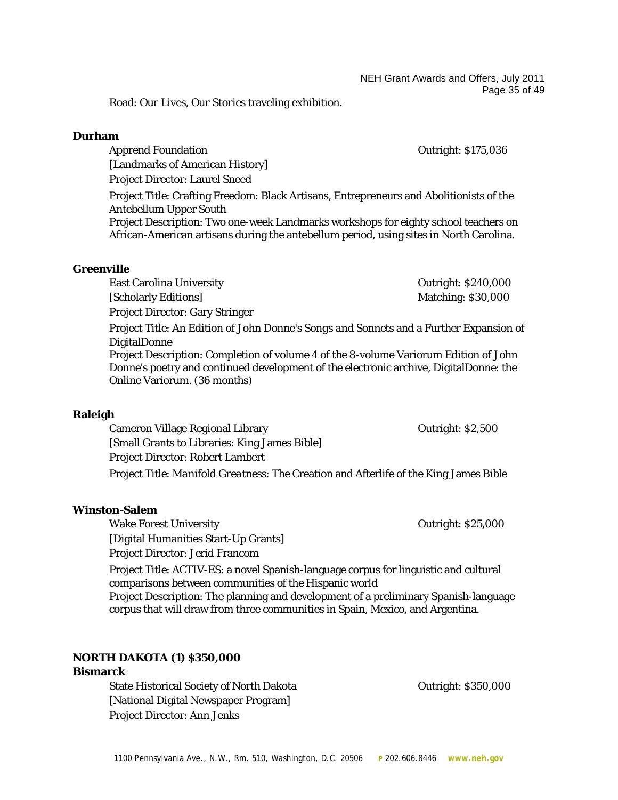NEH Grant Awards and Offers, July 2011 Page 35 of 49

Road: *Our Lives, Our Stories* traveling exhibition.

#### **Durham**

Apprend Foundation **CONTENSISTS** Outright: \$175,036

[Landmarks of American History] Project Director: Laurel Sneed

Project Title: Crafting Freedom: Black Artisans, Entrepreneurs and Abolitionists of the Antebellum Upper South

Project Description: Two one-week Landmarks workshops for eighty school teachers on African-American artisans during the antebellum period, using sites in North Carolina.

#### **Greenville**

East Carolina University **East Carolina University Carolina Carolina Carolina Carolina Carolina Carolina Carolina Carolina Carolina Carolina Carolina Carolina Carolina Carolina Carolina Carolina Carolina Carolina Carolin** 

[Scholarly Editions] Matching: \$30,000

Project Director: Gary Stringer

Project Title: An Edition of John Donne's *Songs and Sonnets* and a Further Expansion of DigitalDonne

Project Description: Completion of volume 4 of the 8-volume Variorum Edition of John Donne's poetry and continued development of the electronic archive, DigitalDonne: the Online Variorum. (36 months)

#### **Raleigh**

Cameron Village Regional Library Outright: \$2,500 [Small Grants to Libraries: King James Bible] Project Director: Robert Lambert Project Title: *Manifold Greatness*: The Creation and Afterlife of the King James Bible

#### **Winston-Salem**

Wake Forest University **Contract Contract Contract Contract Contract Contract Contract Contract Contract Contract Contract Contract Contract Contract Contract Contract Contract Contract Contract Contract Contract Contract** [Digital Humanities Start-Up Grants] Project Director: Jerid Francom

Project Title: ACTIV-ES: a novel Spanish-language corpus for linguistic and cultural comparisons between communities of the Hispanic world

Project Description: The planning and development of a preliminary Spanish-language corpus that will draw from three communities in Spain, Mexico, and Argentina.

#### **NORTH DAKOTA (1) \$350,000**

#### **Bismarck**

State Historical Society of North Dakota **Communists** Outright: \$350,000 [National Digital Newspaper Program] Project Director: Ann Jenks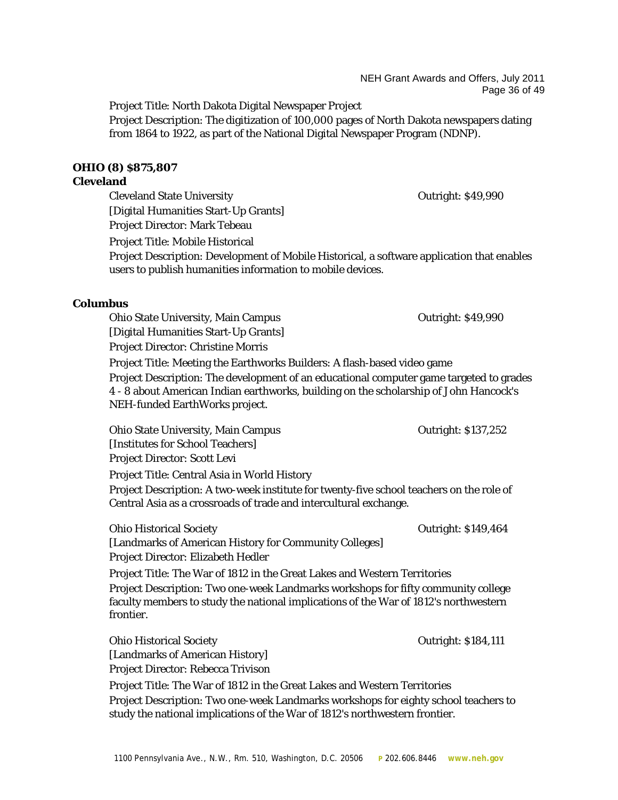NEH Grant Awards and Offers, July 2011 Page 36 of 49

Project Title: North Dakota Digital Newspaper Project

Project Description: The digitization of 100,000 pages of North Dakota newspapers dating from 1864 to 1922, as part of the National Digital Newspaper Program (NDNP).

# **OHIO (8) \$875,807**

# **Cleveland**

Cleveland State University **Cleveland State University Cleveland State University** [Digital Humanities Start-Up Grants] Project Director: Mark Tebeau Project Title: Mobile Historical Project Description: Development of Mobile Historical, a software application that enables

users to publish humanities information to mobile devices.

# **Columbus**

Ohio State University, Main Campus **Communisty** Cutright: \$49,990 [Digital Humanities Start-Up Grants] Project Director: Christine Morris Project Title: Meeting the Earthworks Builders: A flash-based video game Project Description: The development of an educational computer game targeted to grades 4 - 8 about American Indian earthworks, building on the scholarship of John Hancock's NEH-funded EarthWorks project.

Ohio State University, Main Campus **Communist Contract Contract Contract Contract Contract Contract Contract Contract Contract Contract Contract Contract Contract Contract Contract Contract Contract Contract Contract Contr** [Institutes for School Teachers] Project Director: Scott Levi Project Title: Central Asia in World History Project Description: A two-week institute for twenty-five school teachers on the role of Central Asia as a crossroads of trade and intercultural exchange.

Ohio Historical Society Outright: \$149,464 [Landmarks of American History for Community Colleges] Project Director: Elizabeth Hedler

Project Title: The War of 1812 in the Great Lakes and Western Territories Project Description: Two one-week Landmarks workshops for fifty community college faculty members to study the national implications of the War of 1812's northwestern frontier.

Ohio Historical Society **Outright: \$184,111** [Landmarks of American History] Project Director: Rebecca Trivison

Project Title: The War of 1812 in the Great Lakes and Western Territories Project Description: Two one-week Landmarks workshops for eighty school teachers to study the national implications of the War of 1812's northwestern frontier.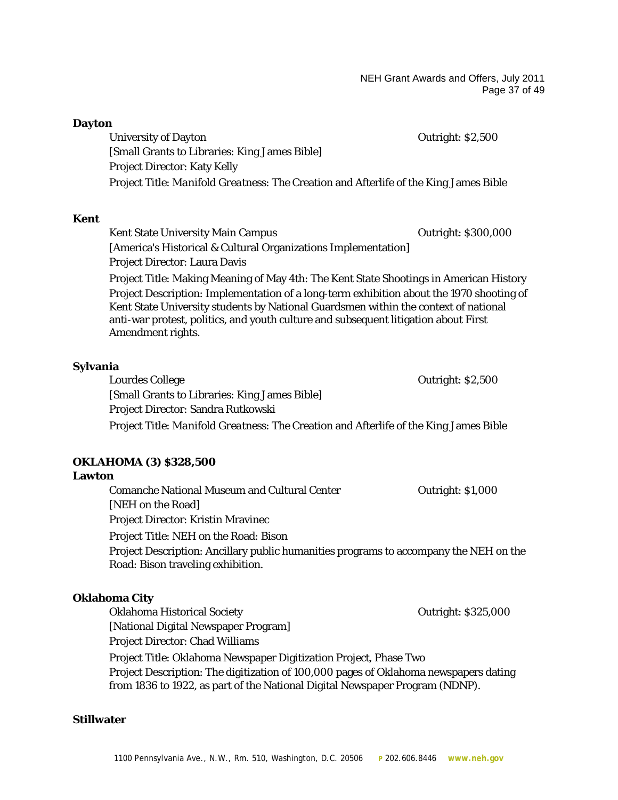NEH Grant Awards and Offers, July 2011 Page 37 of 49

| <b>Dayton</b>                 |                                                                                                                                                                                                                                                                        |                          |
|-------------------------------|------------------------------------------------------------------------------------------------------------------------------------------------------------------------------------------------------------------------------------------------------------------------|--------------------------|
| <b>University of Dayton</b>   |                                                                                                                                                                                                                                                                        | Outright: \$2,500        |
|                               | [Small Grants to Libraries: King James Bible]                                                                                                                                                                                                                          |                          |
|                               | <b>Project Director: Katy Kelly</b>                                                                                                                                                                                                                                    |                          |
|                               | Project Title: Manifold Greatness: The Creation and Afterlife of the King James Bible                                                                                                                                                                                  |                          |
| <b>Kent</b>                   |                                                                                                                                                                                                                                                                        |                          |
|                               | <b>Kent State University Main Campus</b>                                                                                                                                                                                                                               | Outright: \$300,000      |
|                               | [America's Historical & Cultural Organizations Implementation]                                                                                                                                                                                                         |                          |
|                               | Project Director: Laura Davis                                                                                                                                                                                                                                          |                          |
|                               | Project Title: Making Meaning of May 4th: The Kent State Shootings in American History                                                                                                                                                                                 |                          |
| Amendment rights.             | Project Description: Implementation of a long-term exhibition about the 1970 shooting of<br>Kent State University students by National Guardsmen within the context of national<br>anti-war protest, politics, and youth culture and subsequent litigation about First |                          |
| Sylvania                      |                                                                                                                                                                                                                                                                        |                          |
| <b>Lourdes College</b>        |                                                                                                                                                                                                                                                                        | <b>Outright: \$2,500</b> |
|                               | [Small Grants to Libraries: King James Bible]                                                                                                                                                                                                                          |                          |
|                               | Project Director: Sandra Rutkowski                                                                                                                                                                                                                                     |                          |
|                               | Project Title: Manifold Greatness: The Creation and Afterlife of the King James Bible                                                                                                                                                                                  |                          |
| <b>OKLAHOMA (3) \$328,500</b> |                                                                                                                                                                                                                                                                        |                          |
| Lawton                        |                                                                                                                                                                                                                                                                        |                          |
| [NEH on the Road]             | <b>Comanche National Museum and Cultural Center</b>                                                                                                                                                                                                                    | Outright: \$1,000        |
|                               | <b>Project Director: Kristin Mravinec</b>                                                                                                                                                                                                                              |                          |
|                               | Project Title: NEH on the Road: Bison                                                                                                                                                                                                                                  |                          |
|                               | Project Description: Ancillary public humanities programs to accompany the NEH on the<br>Road: <i>Bison</i> traveling exhibition.                                                                                                                                      |                          |
| <b>Oklahoma City</b>          |                                                                                                                                                                                                                                                                        |                          |
|                               | <b>Oklahoma Historical Society</b>                                                                                                                                                                                                                                     | Outright: \$325,000      |
|                               | [National Digital Newspaper Program]<br><b>Project Director: Chad Williams</b>                                                                                                                                                                                         |                          |
|                               | Project Title: Oklahoma Newspaper Digitization Project, Phase Two                                                                                                                                                                                                      |                          |
|                               | Project Description: The digitization of 100,000 pages of Oklahoma newspapers dating<br>from 1836 to 1922, as part of the National Digital Newspaper Program (NDNP).                                                                                                   |                          |

# **Stillwater**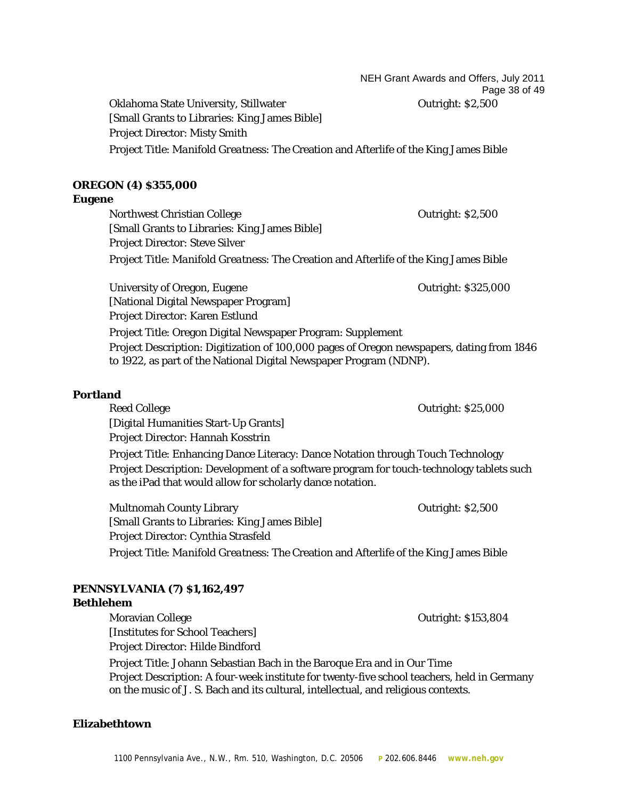NEH Grant Awards and Offers, July 2011 Page 38 of 49 Oklahoma State University, Stillwater **Channel Accord Contract Contract Contract Contract Contract Contract Contract Contract Contract Contract Contract Contract Contract Contract Contract Contract Contract Contract Contra** 

[Small Grants to Libraries: King James Bible] Project Director: Misty Smith Project Title: *Manifold Greatness*: The Creation and Afterlife of the King James Bible

# **OREGON (4) \$355,000**

#### **Eugene**

Northwest Christian College **Christian College College College College College Accord Point College** College Accord Point College Accord Point College Accord Point College Accord Point College Accord Point College Accord [Small Grants to Libraries: King James Bible] Project Director: Steve Silver Project Title: *Manifold Greatness*: The Creation and Afterlife of the King James Bible

University of Oregon, Eugene **Department** Controllering Controllering Outright: \$325,000 [National Digital Newspaper Program] Project Director: Karen Estlund

Project Title: Oregon Digital Newspaper Program: Supplement Project Description: Digitization of 100,000 pages of Oregon newspapers, dating from 1846 to 1922, as part of the National Digital Newspaper Program (NDNP).

# **Portland**

Reed College **Outright: \$25,000** [Digital Humanities Start-Up Grants] Project Director: Hannah Kosstrin Project Title: Enhancing Dance Literacy: Dance Notation through Touch Technology Project Description: Development of a software program for touch-technology tablets such as the iPad that would allow for scholarly dance notation.

Multnomah County Library **County Accounts** Outright: \$2,500 [Small Grants to Libraries: King James Bible] Project Director: Cynthia Strasfeld Project Title: *Manifold Greatness*: The Creation and Afterlife of the King James Bible

# **PENNSYLVANIA (7) \$1,162,497**

#### **Bethlehem**

Moravian College **Outright: \$153,804** [Institutes for School Teachers] Project Director: Hilde Bindford Project Title: Johann Sebastian Bach in the Baroque Era and in Our Time Project Description: A four-week institute for twenty-five school teachers, held in Germany

on the music of J. S. Bach and its cultural, intellectual, and religious contexts.

#### **Elizabethtown**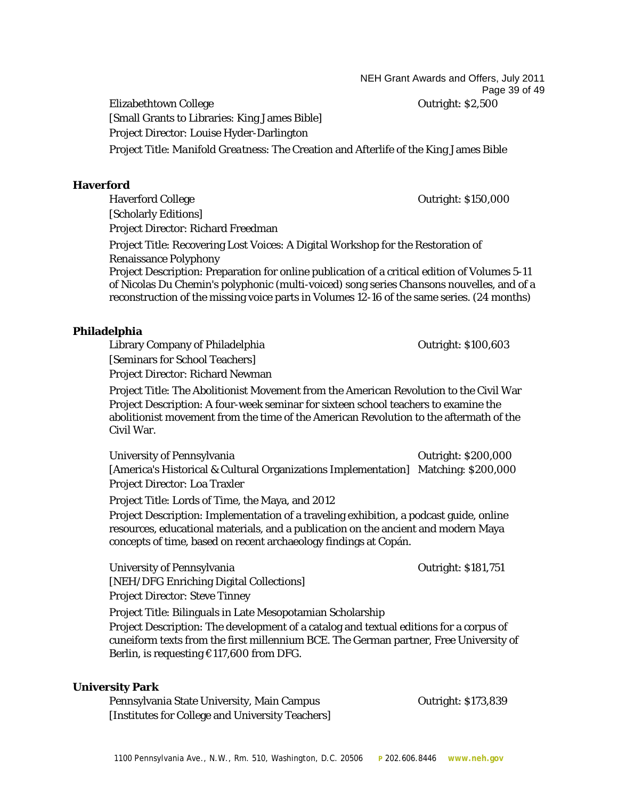NEH Grant Awards and Offers, July 2011 Page 39 of 49

Elizabethtown College Outright: \$2,500 [Small Grants to Libraries: King James Bible] Project Director: Louise Hyder-Darlington Project Title: *Manifold Greatness*: The Creation and Afterlife of the King James Bible

#### **Haverford**

Haverford College **Outright: \$150,000** [Scholarly Editions] Project Director: Richard Freedman

Project Title: Recovering Lost Voices: A Digital Workshop for the Restoration of Renaissance Polyphony

Project Description: Preparation for online publication of a critical edition of Volumes 5-11 of Nicolas Du Chemin's polyphonic (multi-voiced) song series *Chansons nouvelles*, and of a reconstruction of the missing voice parts in Volumes 12-16 of the same series. (24 months)

# **Philadelphia**

Library Company of Philadelphia 0utright: \$100,603 [Seminars for School Teachers]

Project Director: Richard Newman

Project Title: The Abolitionist Movement from the American Revolution to the Civil War Project Description: A four-week seminar for sixteen school teachers to examine the abolitionist movement from the time of the American Revolution to the aftermath of the Civil War.

University of Pennsylvania and a settlem of the Countries of Countries of Countries of Countries of Countries Countries of Countries of Countries of Countries of Countries of Countries of Countries of Countries of Countrie [America's Historical & Cultural Organizations Implementation] Matching: \$200,000 Project Director: Loa Traxler

Project Title: Lords of Time, the Maya, and 2012

Project Description: Implementation of a traveling exhibition, a podcast guide, online resources, educational materials, and a publication on the ancient and modern Maya concepts of time, based on recent archaeology findings at Copán.

University of Pennsylvania **Democratic State of Pennsylvania** Outright: \$181,751 [NEH/DFG Enriching Digital Collections]

Project Director: Steve Tinney

Project Title: Bilinguals in Late Mesopotamian Scholarship

Project Description: The development of a catalog and textual editions for a corpus of cuneiform texts from the first millennium BCE. The German partner, Free University of Berlin, is requesting €117,600 from DFG.

#### **University Park**

Pennsylvania State University, Main Campus **Theorem Cultum** Outright: \$173,839 [Institutes for College and University Teachers]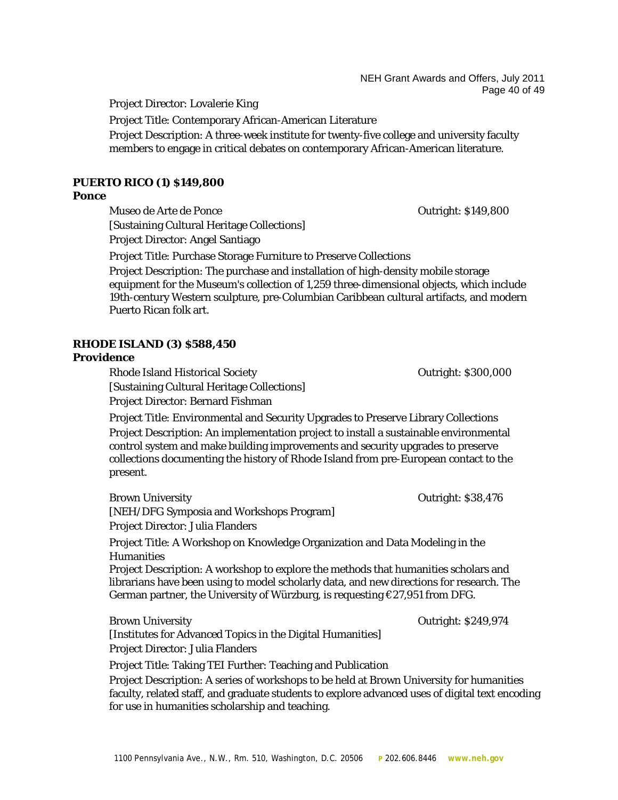NEH Grant Awards and Offers, July 2011 Page 40 of 49

Project Director: Lovalerie King

Project Title: Contemporary African-American Literature

Project Description: A three-week institute for twenty-five college and university faculty members to engage in critical debates on contemporary African-American literature.

#### **PUERTO RICO (1) \$149,800**

#### **Ponce**

Museo de Arte de Ponce Outright: \$149,800 [Sustaining Cultural Heritage Collections] Project Director: Angel Santiago

Project Title: Purchase Storage Furniture to Preserve Collections

Project Description: The purchase and installation of high-density mobile storage equipment for the Museum's collection of 1,259 three-dimensional objects, which include 19th-century Western sculpture, pre-Columbian Caribbean cultural artifacts, and modern Puerto Rican folk art.

#### **RHODE ISLAND (3) \$588,450**

#### **Providence**

Rhode Island Historical Society **Outright: \$300,000** [Sustaining Cultural Heritage Collections] Project Director: Bernard Fishman

Project Title: Environmental and Security Upgrades to Preserve Library Collections Project Description: An implementation project to install a sustainable environmental control system and make building improvements and security upgrades to preserve collections documenting the history of Rhode Island from pre-European contact to the present.

Brown University **Department Contract Sanction** Contract Contract Outright: \$38,476 [NEH/DFG Symposia and Workshops Program] Project Director: Julia Flanders Project Title: A Workshop on Knowledge Organization and Data Modeling in the Humanities Project Description: A workshop to explore the methods that humanities scholars and librarians have been using to model scholarly data, and new directions for research. The German partner, the University of Würzburg, is requesting  $\epsilon$ 27,951 from DFG. Brown University **Outright: \$249,974** 

[Institutes for Advanced Topics in the Digital Humanities]

Project Director: Julia Flanders

Project Title: Taking TEI Further: Teaching and Publication

Project Description: A series of workshops to be held at Brown University for humanities faculty, related staff, and graduate students to explore advanced uses of digital text encoding for use in humanities scholarship and teaching.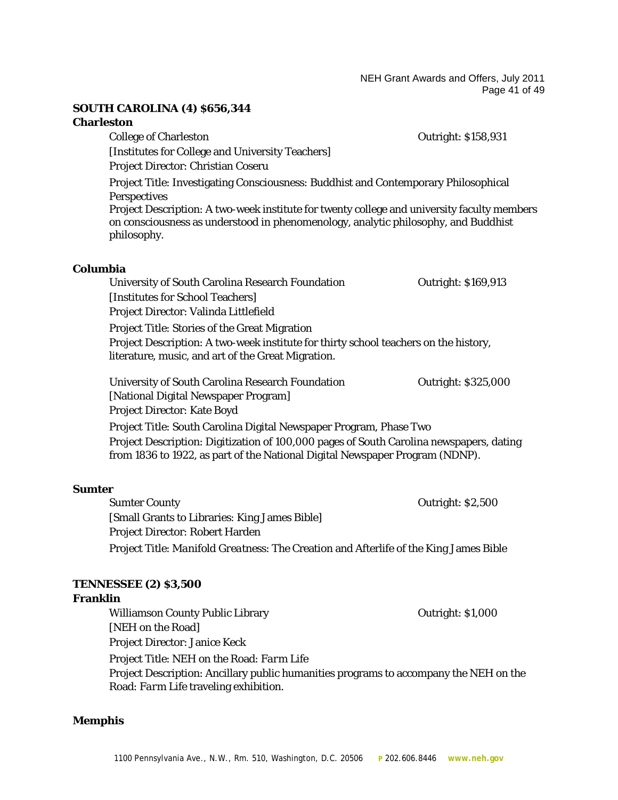NEH Grant Awards and Offers, July 2011 Page 41 of 49

#### **SOUTH CAROLINA (4) \$656,344**

#### **Charleston**

College of Charleston Outright: \$158,931 [Institutes for College and University Teachers] Project Director: Christian Coseru Project Title: Investigating Consciousness: Buddhist and Contemporary Philosophical **Perspectives** Project Description: A two-week institute for twenty college and university faculty members on consciousness as understood in phenomenology, analytic philosophy, and Buddhist philosophy.

#### **Columbia**

University of South Carolina Research Foundation Outright: \$169,913 [Institutes for School Teachers] Project Director: Valinda Littlefield Project Title: Stories of the Great Migration Project Description: A two-week institute for thirty school teachers on the history, literature, music, and art of the Great Migration. University of South Carolina Research Foundation **Carolina Contract Contract Contract** Contract Contract Contract Contract Contract Contract Contract Contract Contract Contract Contract Contract Contract Contract Contract [National Digital Newspaper Program] Project Director: Kate Boyd Project Title: South Carolina Digital Newspaper Program, Phase Two

Project Description: Digitization of 100,000 pages of South Carolina newspapers, dating from 1836 to 1922, as part of the National Digital Newspaper Program (NDNP).

#### **Sumter**

Sumter County **Outright: \$2,500** [Small Grants to Libraries: King James Bible] Project Director: Robert Harden Project Title: *Manifold Greatness*: The Creation and Afterlife of the King James Bible

#### **TENNESSEE (2) \$3,500**

#### **Franklin**

Williamson County Public Library **County Access** Countries of Cutright: \$1,000 [NEH on the Road] Project Director: Janice Keck Project Title: NEH on the Road: *Farm Life* Project Description: Ancillary public humanities programs to accompany the NEH on the Road: *Farm Life* traveling exhibition.

#### **Memphis**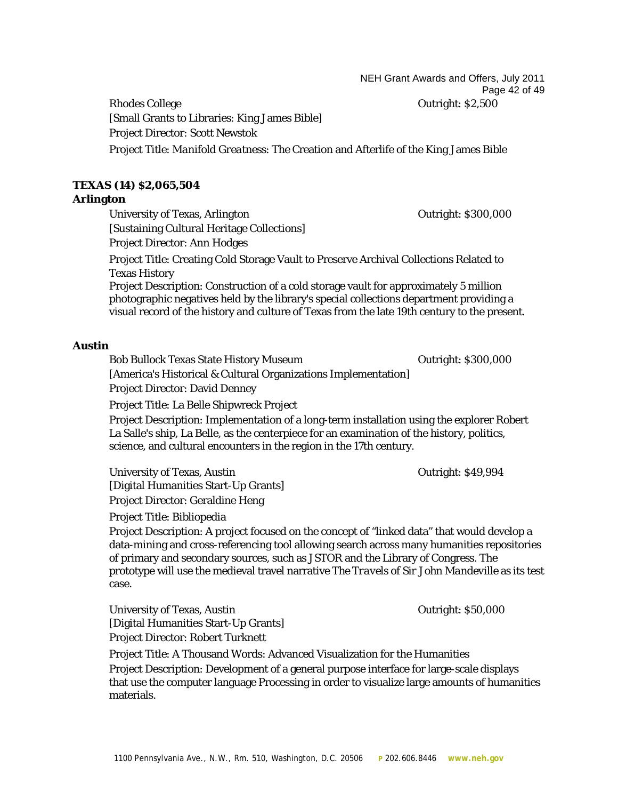NEH Grant Awards and Offers, July 2011 Page 42 of 49

Rhodes College **College** College **College** College **College** College College **College** College College College College College College College College College College College College College College College College College [Small Grants to Libraries: King James Bible] Project Director: Scott Newstok Project Title: *Manifold Greatness*: The Creation and Afterlife of the King James Bible

# **TEXAS (14) \$2,065,504**

# **Arlington**

University of Texas, Arlington Contract Contract Contract Contract Contract Contract Contract Outright: \$300,000 [Sustaining Cultural Heritage Collections] Project Director: Ann Hodges

Project Title: Creating Cold Storage Vault to Preserve Archival Collections Related to Texas History

Project Description: Construction of a cold storage vault for approximately 5 million photographic negatives held by the library's special collections department providing a visual record of the history and culture of Texas from the late 19th century to the present.

# **Austin**

Bob Bullock Texas State History Museum **Drawing Contract Contract Contract Contract** Contract Contract Contract Contract Contract Contract Contract Contract Contract Contract Contract Contract Contract Contract Contract Co [America's Historical & Cultural Organizations Implementation] Project Director: David Denney

Project Title: La Belle Shipwreck Project

Project Description: Implementation of a long-term installation using the explorer Robert La Salle's ship, La Belle, as the centerpiece for an examination of the history, politics, science, and cultural encounters in the region in the 17th century.

University of Texas, Austin **Department** Contribution of Texas, Austin Contribution of Texas, Austin Contribution [Digital Humanities Start-Up Grants] Project Director: Geraldine Heng

Project Title: Bibliopedia

Project Description: A project focused on the concept of "linked data" that would develop a data-mining and cross-referencing tool allowing search across many humanities repositories of primary and secondary sources, such as JSTOR and the Library of Congress. The prototype will use the medieval travel narrative *The Travels of Sir John Mandeville* as its test case.

University of Texas, Austin **Department Contract Contract Contract Contract Contract Contract Contract Contract Contract Contract Contract Contract Contract Contract Contract Contract Contract Contract Contract Contract Co** [Digital Humanities Start-Up Grants] Project Director: Robert Turknett

Project Title: A Thousand Words: Advanced Visualization for the Humanities Project Description: Development of a general purpose interface for large-scale displays that use the computer language Processing in order to visualize large amounts of humanities materials.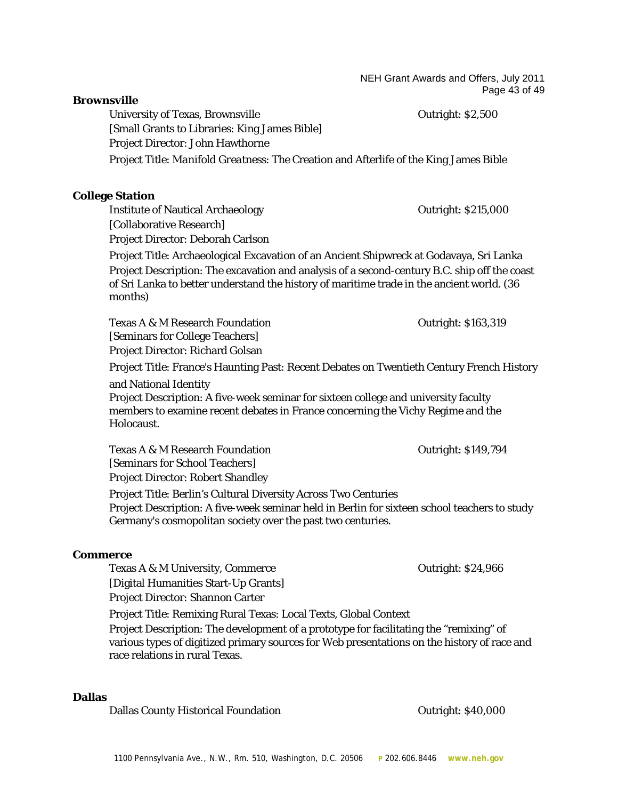NEH Grant Awards and Offers, July 2011 Page 43 of 49

#### **Brownsville**

University of Texas, Brownsville **Example 2018** Outright: \$2,500 [Small Grants to Libraries: King James Bible] Project Director: John Hawthorne Project Title: *Manifold Greatness*: The Creation and Afterlife of the King James Bible

#### **College Station**

Institute of Nautical Archaeology **Canadian Contract Contract Archaeology Canadian Contract Archaeology Canadian Contract Archaeology Canadian Contract Archaeology** [Collaborative Research] Project Director: Deborah Carlson

Project Title: Archaeological Excavation of an Ancient Shipwreck at Godavaya, Sri Lanka Project Description: The excavation and analysis of a second-century B.C. ship off the coast of Sri Lanka to better understand the history of maritime trade in the ancient world. (36 months)

Texas A & M Research Foundation Texas A & M Research Foundation [Seminars for College Teachers] Project Director: Richard Golsan

Project Title: France's Haunting Past: Recent Debates on Twentieth Century French History

and National Identity

Project Description: A five-week seminar for sixteen college and university faculty members to examine recent debates in France concerning the Vichy Regime and the Holocaust.

Texas A & M Research Foundation Cutright: \$149,794 [Seminars for School Teachers] Project Director: Robert Shandley Project Title: Berlin's Cultural Diversity Across Two Centuries Project Description: A five-week seminar held in Berlin for sixteen school teachers to study Germany's cosmopolitan society over the past two centuries.

#### **Commerce**

Texas A & M University, Commerce **Commerce Contract Contract Contract Contract Contract Contract Contract Contract Contract Contract Contract Contract Contract Contract Contract Contract Contract Contract Contract Contra** 

[Digital Humanities Start-Up Grants] Project Director: Shannon Carter

Project Title: Remixing Rural Texas: Local Texts, Global Context

Project Description: The development of a prototype for facilitating the "remixing" of various types of digitized primary sources for Web presentations on the history of race and race relations in rural Texas.

#### **Dallas**

Dallas County Historical Foundation **Dallas County Automakia Foundation Outright: \$40,000**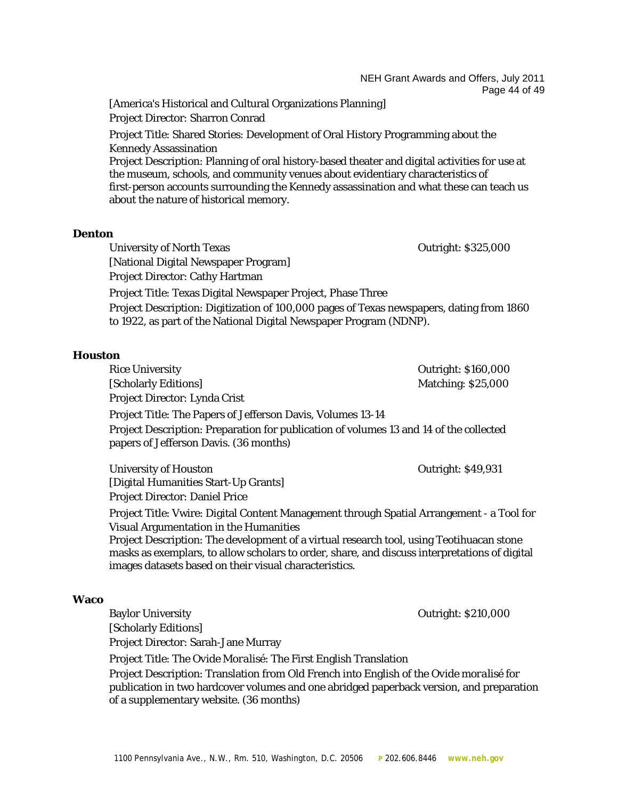NEH Grant Awards and Offers, July 2011 Page 44 of 49

[America's Historical and Cultural Organizations Planning] Project Director: Sharron Conrad

Project Title: Shared Stories: Development of Oral History Programming about the Kennedy Assassination

Project Description: Planning of oral history-based theater and digital activities for use at the museum, schools, and community venues about evidentiary characteristics of first-person accounts surrounding the Kennedy assassination and what these can teach us about the nature of historical memory.

#### **Denton**

University of North Texas **Outright: \$325,000** [National Digital Newspaper Program] Project Director: Cathy Hartman

Project Title: Texas Digital Newspaper Project, Phase Three

Project Description: Digitization of 100,000 pages of Texas newspapers, dating from 1860 to 1922, as part of the National Digital Newspaper Program (NDNP).

#### **Houston**

Rice University **Calculation Control** Control Control Control Control Control Control Control Control Control Control Control Control Control Control Control Control Control Control Control Control Control Control Control [Scholarly Editions] Matching: \$25,000 Project Director: Lynda Crist Project Title: The Papers of Jefferson Davis, Volumes 13-14 Project Description: Preparation for publication of volumes 13 and 14 of the collected papers of Jefferson Davis. (36 months)

University of Houston **Outright: \$49,931** [Digital Humanities Start-Up Grants] Project Director: Daniel Price

Project Title: Vwire: Digital Content Management through Spatial Arrangement - a Tool for Visual Argumentation in the Humanities

Project Description: The development of a virtual research tool, using Teotihuacan stone masks as exemplars, to allow scholars to order, share, and discuss interpretations of digital images datasets based on their visual characteristics.

#### **Waco**

Baylor University **Outright: \$210,000** [Scholarly Editions] Project Director: Sarah-Jane Murray

Project Title: The *Ovide Moralisé*: The First English Translation

Project Description: Translation from Old French into English of the *Ovide moralisé* for publication in two hardcover volumes and one abridged paperback version, and preparation of a supplementary website. (36 months)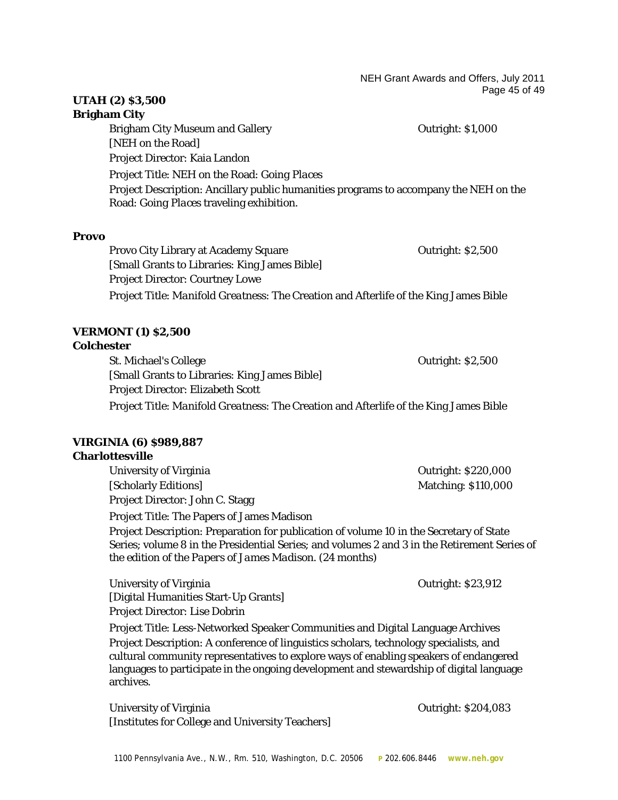NEH Grant Awards and Offers, July 2011 Page 45 of 49

# **UTAH (2) \$3,500**

# **Brigham City**

Brigham City Museum and Gallery **Example 2018** Outright: \$1,000 [NEH on the Road] Project Director: Kaia Landon Project Title: NEH on the Road: *Going Places* Project Description: Ancillary public humanities programs to accompany the NEH on the Road: *Going Places* traveling exhibition.

#### **Provo**

Provo City Library at Academy Square **Provident Contract Contract Contract Contract Contract Contract Contract Contract Contract Contract Contract Contract Contract Contract Contract Contract Contract Contract Contract Con** [Small Grants to Libraries: King James Bible] Project Director: Courtney Lowe Project Title: *Manifold Greatness*: The Creation and Afterlife of the King James Bible

# **VERMONT (1) \$2,500**

#### **Colchester**

St. Michael's College **Outright: \$2,500** [Small Grants to Libraries: King James Bible] Project Director: Elizabeth Scott Project Title: *Manifold Greatness*: The Creation and Afterlife of the King James Bible

# **VIRGINIA (6) \$989,887**

#### **Charlottesville**

University of Virginia **Outright:** \$220,000 [Scholarly Editions] Matching: \$110,000 Project Director: John C. Stagg Project Title: The Papers of James Madison Project Description: Preparation for publication of volume 10 in the Secretary of State Series; volume 8 in the Presidential Series; and volumes 2 and 3 in the Retirement Series of the edition of the *Papers of James Madison*. (24 months)

University of Virginia **Outright: \$23,912** [Digital Humanities Start-Up Grants] Project Director: Lise Dobrin

Project Title: Less-Networked Speaker Communities and Digital Language Archives Project Description: A conference of linguistics scholars, technology specialists, and cultural community representatives to explore ways of enabling speakers of endangered languages to participate in the ongoing development and stewardship of digital language archives.

University of Virginia **Outright:** \$204,083 [Institutes for College and University Teachers]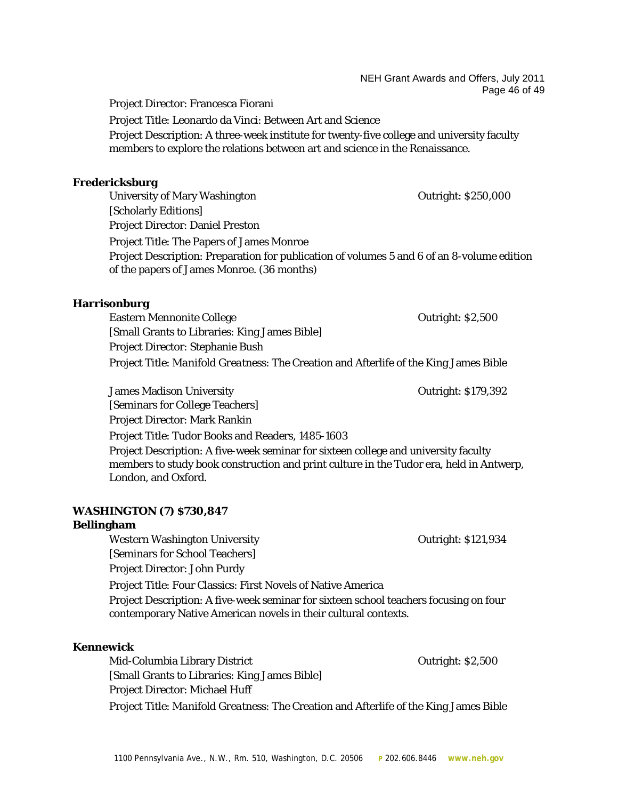NEH Grant Awards and Offers, July 2011 Page 46 of 49

Project Director: Francesca Fiorani

Project Title: Leonardo da Vinci: Between Art and Science Project Description: A three-week institute for twenty-five college and university faculty members to explore the relations between art and science in the Renaissance.

#### **Fredericksburg**

University of Mary Washington Communication Contract Contract Contract Contract Outright: \$250,000 [Scholarly Editions] Project Director: Daniel Preston Project Title: The Papers of James Monroe Project Description: Preparation for publication of volumes 5 and 6 of an 8-volume edition of the papers of James Monroe. (36 months)

#### **Harrisonburg**

Eastern Mennonite College **College** College College College College College College College College College College College College College College College College College College College College College College College Co [Small Grants to Libraries: King James Bible] Project Director: Stephanie Bush Project Title: *Manifold Greatness*: The Creation and Afterlife of the King James Bible

James Madison University Outright: \$179,392 [Seminars for College Teachers] Project Director: Mark Rankin Project Title: Tudor Books and Readers, 1485-1603 Project Description: A five-week seminar for sixteen college and university faculty members to study book construction and print culture in the Tudor era, held in Antwerp, London, and Oxford.

#### **WASHINGTON (7) \$730,847**

#### **Bellingham**

Western Washington University **Network** Outright: \$121,934 [Seminars for School Teachers] Project Director: John Purdy Project Title: Four Classics: First Novels of Native America Project Description: A five-week seminar for sixteen school teachers focusing on four contemporary Native American novels in their cultural contexts.

#### **Kennewick**

Mid-Columbia Library District Outright: \$2,500 [Small Grants to Libraries: King James Bible] Project Director: Michael Huff Project Title: *Manifold Greatness*: The Creation and Afterlife of the King James Bible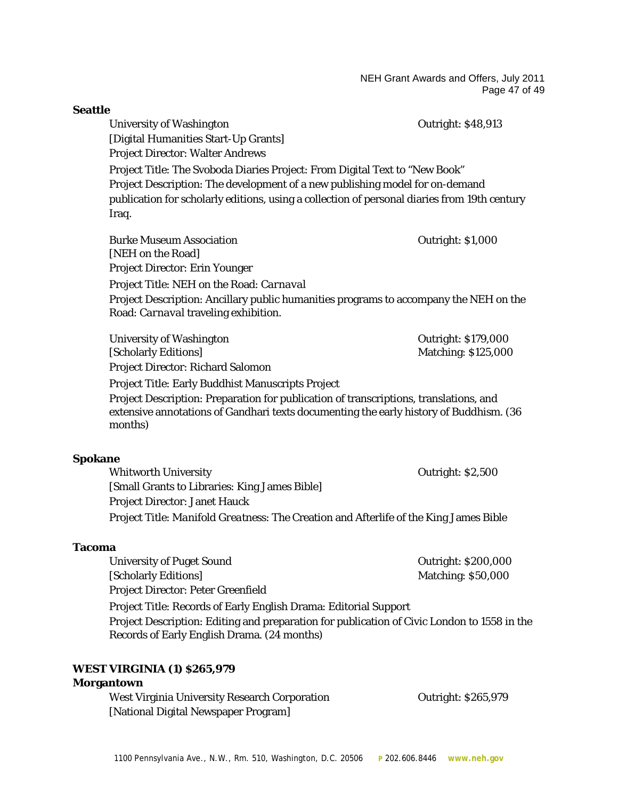NEH Grant Awards and Offers, July 2011 Page 47 of 49

**Seattle** University of Washington **Outright: \$48,913** [Digital Humanities Start-Up Grants] Project Director: Walter Andrews Project Title: The Svoboda Diaries Project: From Digital Text to "New Book" Project Description: The development of a new publishing model for on-demand publication for scholarly editions, using a collection of personal diaries from 19th century Iraq. Burke Museum Association Outright: \$1,000 [NEH on the Road] Project Director: Erin Younger Project Title: NEH on the Road: *Carnaval* Project Description: Ancillary public humanities programs to accompany the NEH on the Road: *Carnaval* traveling exhibition. University of Washington **Department Controller** Curright: \$179,000 [Scholarly Editions] Matching: \$125,000 Project Director: Richard Salomon Project Title: Early Buddhist Manuscripts Project Project Description: Preparation for publication of transcriptions, translations, and extensive annotations of Gandhari texts documenting the early history of Buddhism. (36 months) **Spokane** Whitworth University **Contract Contract Contract Contract Contract Contract Contract Contract Contract Contract Contract Contract Contract Contract Contract Contract Contract Contract Contract Contract Contract Contract Co** [Small Grants to Libraries: King James Bible] Project Director: Janet Hauck Project Title: *Manifold Greatness*: The Creation and Afterlife of the King James Bible **Tacoma** University of Puget Sound **Outright: \$200,000** [Scholarly Editions] Matching: \$50,000 Project Director: Peter Greenfield Project Title: Records of Early English Drama: Editorial Support Project Description: Editing and preparation for publication of Civic London to 1558 in the Records of Early English Drama. (24 months) **WEST VIRGINIA (1) \$265,979 Morgantown** West Virginia University Research Corporation Theorem Coutright: \$265,979 [National Digital Newspaper Program]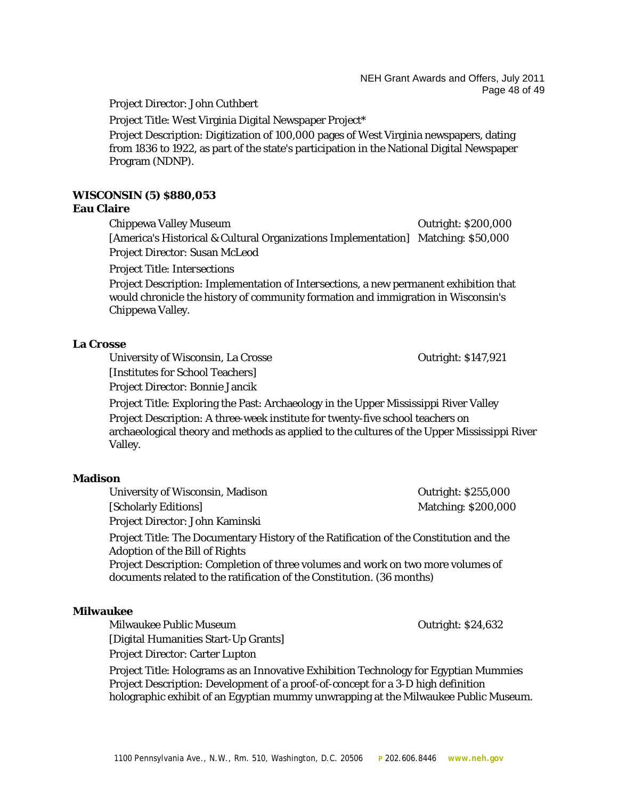NEH Grant Awards and Offers, July 2011 Page 48 of 49

Project Director: John Cuthbert

Project Title: West Virginia Digital Newspaper Project\*

Project Description: Digitization of 100,000 pages of West Virginia newspapers, dating from 1836 to 1922, as part of the state's participation in the National Digital Newspaper Program (NDNP).

# **WISCONSIN (5) \$880,053**

#### **Eau Claire**

Chippewa Valley Museum **Chippewa Valley Museum** Chippewa Outright: \$200,000 [America's Historical & Cultural Organizations Implementation] Matching: \$50,000 Project Director: Susan McLeod

Project Title: *Intersections*

Project Description: Implementation of *Intersections*, a new permanent exhibition that would chronicle the history of community formation and immigration in Wisconsin's Chippewa Valley.

#### **La Crosse**

University of Wisconsin, La Crosse **Constanting Constanting Constanting Constanting Constanting Constanting Const** 

[Institutes for School Teachers]

Project Director: Bonnie Jancik

Project Title: Exploring the Past: Archaeology in the Upper Mississippi River Valley Project Description: A three-week institute for twenty-five school teachers on archaeological theory and methods as applied to the cultures of the Upper Mississippi River Valley.

#### **Madison**

University of Wisconsin, Madison **Outright: \$255,000** Outright: \$255,000 [Scholarly Editions] Matching: \$200,000 Project Director: John Kaminski

Project Title: The Documentary History of the Ratification of the Constitution and the Adoption of the Bill of Rights

Project Description: Completion of three volumes and work on two more volumes of documents related to the ratification of the Constitution. (36 months)

#### **Milwaukee**

Milwaukee Public Museum and the Contribution of the Contribution of Outright: \$24,632 [Digital Humanities Start-Up Grants] Project Director: Carter Lupton

Project Title: Holograms as an Innovative Exhibition Technology for Egyptian Mummies Project Description: Development of a proof-of-concept for a 3-D high definition holographic exhibit of an Egyptian mummy unwrapping at the Milwaukee Public Museum.